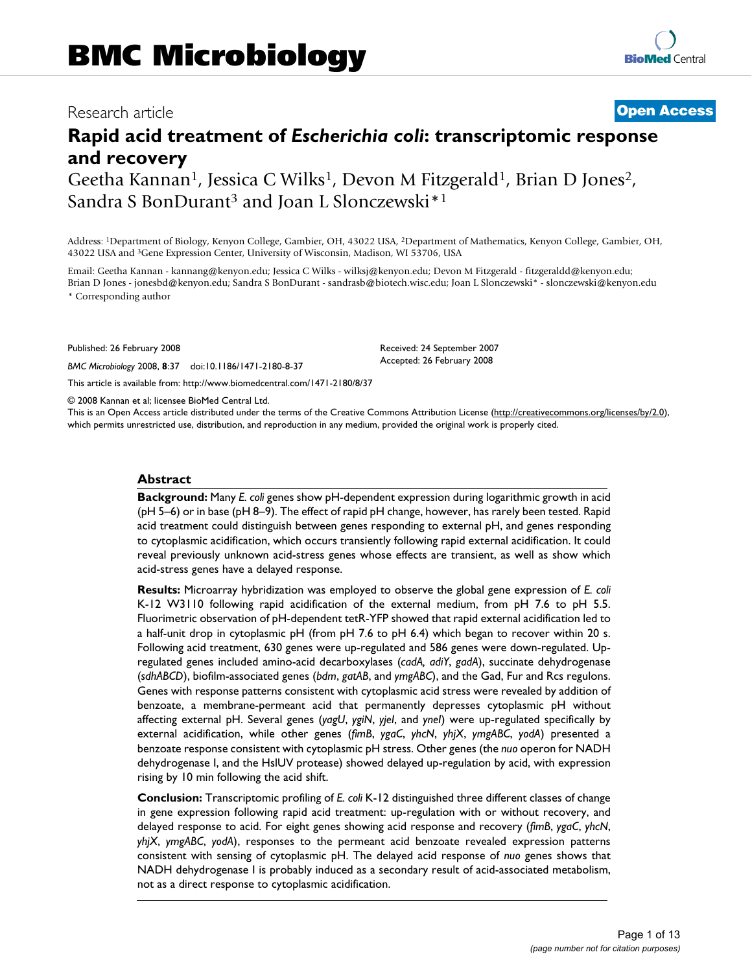## Research article **[Open Access](http://www.biomedcentral.com/info/about/charter/)**

# **Rapid acid treatment of** *Escherichia coli***: transcriptomic response and recovery**

Geetha Kannan<sup>1</sup>, Jessica C Wilks<sup>1</sup>, Devon M Fitzgerald<sup>1</sup>, Brian D Jones<sup>2</sup>, Sandra S BonDurant<sup>3</sup> and Joan L Slonczewski<sup>\*1</sup>

Address: 1Department of Biology, Kenyon College, Gambier, OH, 43022 USA, 2Department of Mathematics, Kenyon College, Gambier, OH, 43022 USA and 3Gene Expression Center, University of Wisconsin, Madison, WI 53706, USA

Email: Geetha Kannan - kannang@kenyon.edu; Jessica C Wilks - wilksj@kenyon.edu; Devon M Fitzgerald - fitzgeraldd@kenyon.edu; Brian D Jones - jonesbd@kenyon.edu; Sandra S BonDurant - sandrasb@biotech.wisc.edu; Joan L Slonczewski\* - slonczewski@kenyon.edu \* Corresponding author

Published: 26 February 2008

*BMC Microbiology* 2008, **8**:37 doi:10.1186/1471-2180-8-37

[This article is available from: http://www.biomedcentral.com/1471-2180/8/37](http://www.biomedcentral.com/1471-2180/8/37)

© 2008 Kannan et al; licensee BioMed Central Ltd.

This is an Open Access article distributed under the terms of the Creative Commons Attribution License [\(http://creativecommons.org/licenses/by/2.0\)](http://creativecommons.org/licenses/by/2.0), which permits unrestricted use, distribution, and reproduction in any medium, provided the original work is properly cited.

Received: 24 September 2007 Accepted: 26 February 2008

#### **Abstract**

**Background:** Many *E. coli* genes show pH-dependent expression during logarithmic growth in acid (pH 5–6) or in base (pH 8–9). The effect of rapid pH change, however, has rarely been tested. Rapid acid treatment could distinguish between genes responding to external pH, and genes responding to cytoplasmic acidification, which occurs transiently following rapid external acidification. It could reveal previously unknown acid-stress genes whose effects are transient, as well as show which acid-stress genes have a delayed response.

**Results:** Microarray hybridization was employed to observe the global gene expression of *E. coli* K-12 W3110 following rapid acidification of the external medium, from pH 7.6 to pH 5.5. Fluorimetric observation of pH-dependent tetR-YFP showed that rapid external acidification led to a half-unit drop in cytoplasmic pH (from pH 7.6 to pH 6.4) which began to recover within 20 s. Following acid treatment, 630 genes were up-regulated and 586 genes were down-regulated. Upregulated genes included amino-acid decarboxylases (*cadA, adiY*, *gadA*), succinate dehydrogenase (*sdhABCD*), biofilm-associated genes (*bdm*, *gatAB*, and *ymgABC*), and the Gad, Fur and Rcs regulons. Genes with response patterns consistent with cytoplasmic acid stress were revealed by addition of benzoate, a membrane-permeant acid that permanently depresses cytoplasmic pH without affecting external pH. Several genes (*yagU*, *ygiN*, *yjeI*, and *yneI*) were up-regulated specifically by external acidification, while other genes (*fimB*, *ygaC*, *yhcN*, *yhjX*, *ymgABC*, *yodA*) presented a benzoate response consistent with cytoplasmic pH stress. Other genes (the *nuo* operon for NADH dehydrogenase I, and the HslUV protease) showed delayed up-regulation by acid, with expression rising by 10 min following the acid shift.

**Conclusion:** Transcriptomic profiling of *E. coli* K-12 distinguished three different classes of change in gene expression following rapid acid treatment: up-regulation with or without recovery, and delayed response to acid. For eight genes showing acid response and recovery (*fimB*, *ygaC*, *yhcN*, *yhjX*, *ymgABC*, *yodA*), responses to the permeant acid benzoate revealed expression patterns consistent with sensing of cytoplasmic pH. The delayed acid response of *nuo* genes shows that NADH dehydrogenase I is probably induced as a secondary result of acid-associated metabolism, not as a direct response to cytoplasmic acidification.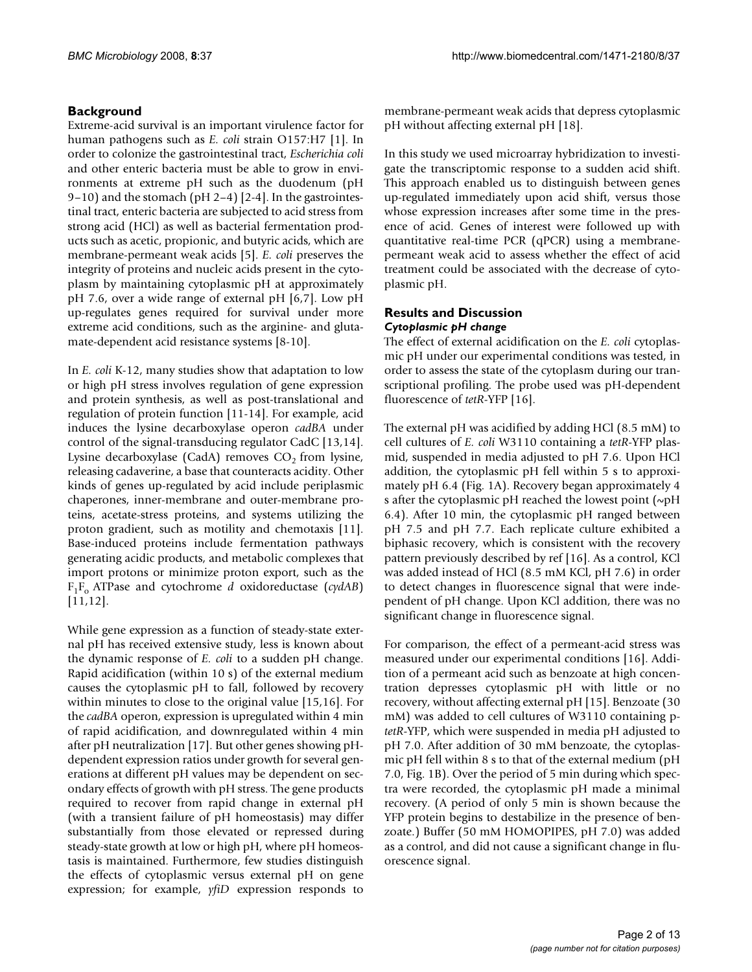## **Background**

Extreme-acid survival is an important virulence factor for human pathogens such as *E. coli* strain O157:H7 [1]. In order to colonize the gastrointestinal tract, *Escherichia coli* and other enteric bacteria must be able to grow in environments at extreme pH such as the duodenum (pH 9–10) and the stomach (pH 2–4) [2-4]. In the gastrointestinal tract, enteric bacteria are subjected to acid stress from strong acid (HCl) as well as bacterial fermentation products such as acetic, propionic, and butyric acids, which are membrane-permeant weak acids [5]. *E. coli* preserves the integrity of proteins and nucleic acids present in the cytoplasm by maintaining cytoplasmic pH at approximately pH 7.6, over a wide range of external pH [6,7]. Low pH up-regulates genes required for survival under more extreme acid conditions, such as the arginine- and glutamate-dependent acid resistance systems [8-10].

In *E. coli* K-12, many studies show that adaptation to low or high pH stress involves regulation of gene expression and protein synthesis, as well as post-translational and regulation of protein function [11-14]. For example, acid induces the lysine decarboxylase operon *cadBA* under control of the signal-transducing regulator CadC [13,14]. Lysine decarboxylase (CadA) removes  $CO<sub>2</sub>$  from lysine, releasing cadaverine, a base that counteracts acidity. Other kinds of genes up-regulated by acid include periplasmic chaperones, inner-membrane and outer-membrane proteins, acetate-stress proteins, and systems utilizing the proton gradient, such as motility and chemotaxis [11]. Base-induced proteins include fermentation pathways generating acidic products, and metabolic complexes that import protons or minimize proton export, such as the F1Fo ATPase and cytochrome *d* oxidoreductase (*cydAB*) [11,12].

While gene expression as a function of steady-state external pH has received extensive study, less is known about the dynamic response of *E. coli* to a sudden pH change. Rapid acidification (within 10 s) of the external medium causes the cytoplasmic pH to fall, followed by recovery within minutes to close to the original value [15,16]. For the *cadBA* operon, expression is upregulated within 4 min of rapid acidification, and downregulated within 4 min after pH neutralization [17]. But other genes showing pHdependent expression ratios under growth for several generations at different pH values may be dependent on secondary effects of growth with pH stress. The gene products required to recover from rapid change in external pH (with a transient failure of pH homeostasis) may differ substantially from those elevated or repressed during steady-state growth at low or high pH, where pH homeostasis is maintained. Furthermore, few studies distinguish the effects of cytoplasmic versus external pH on gene expression; for example, *yfiD* expression responds to membrane-permeant weak acids that depress cytoplasmic pH without affecting external pH [18].

In this study we used microarray hybridization to investigate the transcriptomic response to a sudden acid shift. This approach enabled us to distinguish between genes up-regulated immediately upon acid shift, versus those whose expression increases after some time in the presence of acid. Genes of interest were followed up with quantitative real-time PCR (qPCR) using a membranepermeant weak acid to assess whether the effect of acid treatment could be associated with the decrease of cytoplasmic pH.

## **Results and Discussion** *Cytoplasmic pH change*

The effect of external acidification on the *E. coli* cytoplasmic pH under our experimental conditions was tested, in order to assess the state of the cytoplasm during our transcriptional profiling. The probe used was pH-dependent fluorescence of *tetR*-YFP [16].

The external pH was acidified by adding HCl (8.5 mM) to cell cultures of *E. coli* W3110 containing a *tetR*-YFP plasmid, suspended in media adjusted to pH 7.6. Upon HCl addition, the cytoplasmic pH fell within 5 s to approximately pH 6.4 (Fig. 1A). Recovery began approximately 4 s after the cytoplasmic pH reached the lowest point (~pH 6.4). After 10 min, the cytoplasmic pH ranged between pH 7.5 and pH 7.7. Each replicate culture exhibited a biphasic recovery, which is consistent with the recovery pattern previously described by ref [16]. As a control, KCl was added instead of HCl (8.5 mM KCl, pH 7.6) in order to detect changes in fluorescence signal that were independent of pH change. Upon KCl addition, there was no significant change in fluorescence signal.

For comparison, the effect of a permeant-acid stress was measured under our experimental conditions [16]. Addition of a permeant acid such as benzoate at high concentration depresses cytoplasmic pH with little or no recovery, without affecting external pH [15]. Benzoate (30 mM) was added to cell cultures of W3110 containing p*tetR*-YFP, which were suspended in media pH adjusted to pH 7.0. After addition of 30 mM benzoate, the cytoplasmic pH fell within 8 s to that of the external medium (pH 7.0, Fig. 1B). Over the period of 5 min during which spectra were recorded, the cytoplasmic pH made a minimal recovery. (A period of only 5 min is shown because the YFP protein begins to destabilize in the presence of benzoate.) Buffer (50 mM HOMOPIPES, pH 7.0) was added as a control, and did not cause a significant change in fluorescence signal.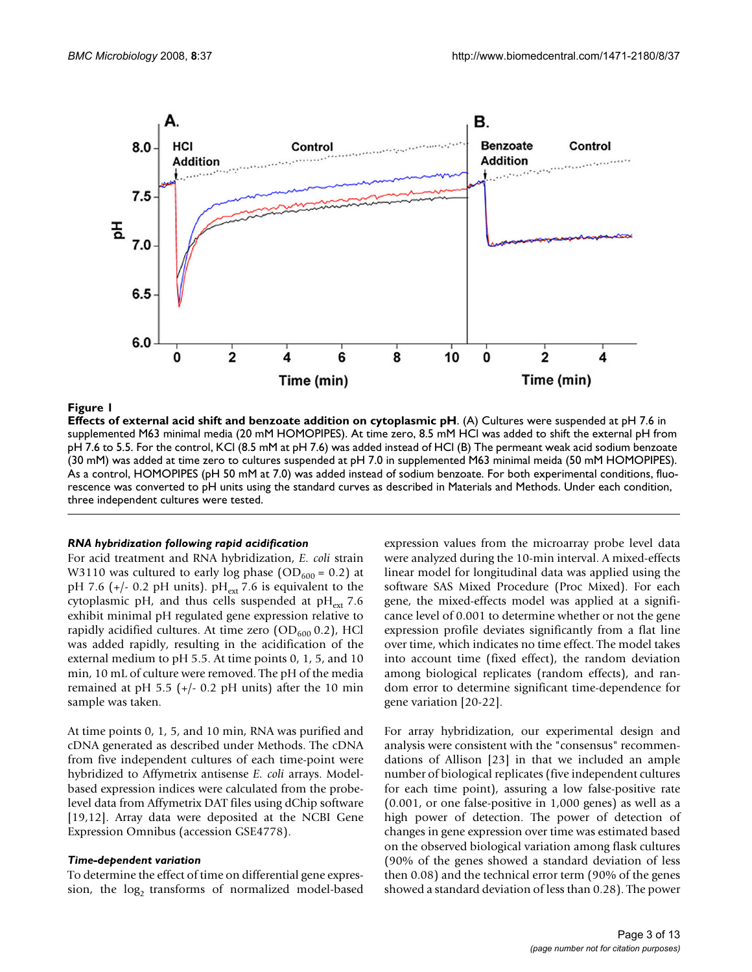

#### **Figure 1**

**Effects of external acid shift and benzoate addition on cytoplasmic pH**. (A) Cultures were suspended at pH 7.6 in supplemented M63 minimal media (20 mM HOMOPIPES). At time zero, 8.5 mM HCl was added to shift the external pH from pH 7.6 to 5.5. For the control, KCl (8.5 mM at pH 7.6) was added instead of HCl (B) The permeant weak acid sodium benzoate (30 mM) was added at time zero to cultures suspended at pH 7.0 in supplemented M63 minimal meida (50 mM HOMOPIPES). As a control, HOMOPIPES (pH 50 mM at 7.0) was added instead of sodium benzoate. For both experimental conditions, fluorescence was converted to pH units using the standard curves as described in Materials and Methods. Under each condition, three independent cultures were tested.

#### *RNA hybridization following rapid acidification*

For acid treatment and RNA hybridization, *E. coli* strain W3110 was cultured to early log phase (OD<sub>600</sub> = 0.2) at pH 7.6 (+/- 0.2 pH units).  $pH_{ext}$  7.6 is equivalent to the cytoplasmic pH, and thus cells suspended at  $pH_{ext}$  7.6 exhibit minimal pH regulated gene expression relative to rapidly acidified cultures. At time zero  $(OD<sub>600</sub> 0.2)$ , HCl was added rapidly, resulting in the acidification of the external medium to pH 5.5. At time points 0, 1, 5, and 10 min, 10 mL of culture were removed. The pH of the media remained at pH 5.5 ( $+/-$  0.2 pH units) after the 10 min sample was taken.

At time points 0, 1, 5, and 10 min, RNA was purified and cDNA generated as described under Methods. The cDNA from five independent cultures of each time-point were hybridized to Affymetrix antisense *E. coli* arrays. Modelbased expression indices were calculated from the probelevel data from Affymetrix DAT files using dChip software [19,12]. Array data were deposited at the NCBI Gene Expression Omnibus (accession GSE4778).

#### *Time-dependent variation*

To determine the effect of time on differential gene expression, the  $log<sub>2</sub>$  transforms of normalized model-based expression values from the microarray probe level data were analyzed during the 10-min interval. A mixed-effects linear model for longitudinal data was applied using the software SAS Mixed Procedure (Proc Mixed). For each gene, the mixed-effects model was applied at a significance level of 0.001 to determine whether or not the gene expression profile deviates significantly from a flat line over time, which indicates no time effect. The model takes into account time (fixed effect), the random deviation among biological replicates (random effects), and random error to determine significant time-dependence for gene variation [20-22].

For array hybridization, our experimental design and analysis were consistent with the "consensus" recommendations of Allison [23] in that we included an ample number of biological replicates (five independent cultures for each time point), assuring a low false-positive rate (0.001, or one false-positive in 1,000 genes) as well as a high power of detection. The power of detection of changes in gene expression over time was estimated based on the observed biological variation among flask cultures (90% of the genes showed a standard deviation of less then 0.08) and the technical error term (90% of the genes showed a standard deviation of less than 0.28). The power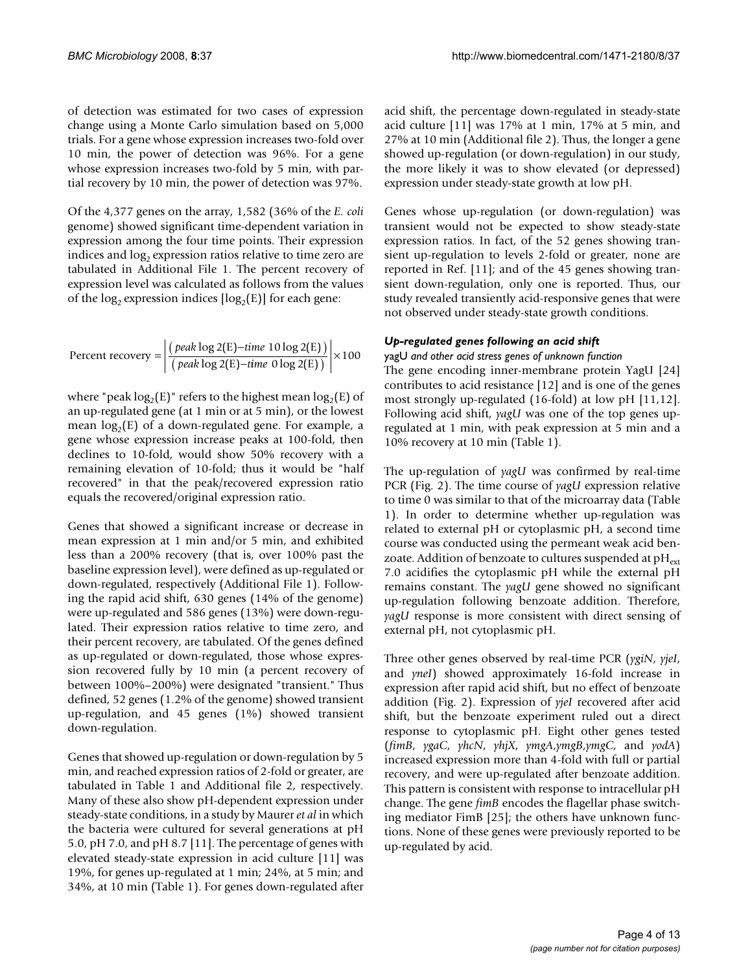of detection was estimated for two cases of expression change using a Monte Carlo simulation based on 5,000 trials. For a gene whose expression increases two-fold over 10 min, the power of detection was 96%. For a gene whose expression increases two-fold by 5 min, with partial recovery by 10 min, the power of detection was 97%.

Of the 4,377 genes on the array, 1,582 (36% of the *E. coli* genome) showed significant time-dependent variation in expression among the four time points. Their expression indices and  $log<sub>2</sub>$  expression ratios relative to time zero are tabulated in Additional File 1. The percent recovery of expression level was calculated as follows from the values of the log<sub>2</sub> expression indices [ $log_2(E)$ ] for each gene:

$$
Percent recovery = \left| \frac{(peak \log 2(E) - time \ 10 \log 2(E))}{(peak \log 2(E) - time \ 0 \log 2(E))} \right| \times 100
$$

where "peak  $log_2(E)$ " refers to the highest mean  $log_2(E)$  of an up-regulated gene (at 1 min or at 5 min), or the lowest mean  $log_2(E)$  of a down-regulated gene. For example, a gene whose expression increase peaks at 100-fold, then declines to 10-fold, would show 50% recovery with a remaining elevation of 10-fold; thus it would be "half recovered" in that the peak/recovered expression ratio equals the recovered/original expression ratio.

Genes that showed a significant increase or decrease in mean expression at 1 min and/or 5 min, and exhibited less than a 200% recovery (that is, over 100% past the baseline expression level), were defined as up-regulated or down-regulated, respectively (Additional File 1). Following the rapid acid shift, 630 genes (14% of the genome) were up-regulated and 586 genes (13%) were down-regulated. Their expression ratios relative to time zero, and their percent recovery, are tabulated. Of the genes defined as up-regulated or down-regulated, those whose expression recovered fully by 10 min (a percent recovery of between 100%–200%) were designated "transient." Thus defined, 52 genes (1.2% of the genome) showed transient up-regulation, and 45 genes (1%) showed transient down-regulation.

Genes that showed up-regulation or down-regulation by 5 min, and reached expression ratios of 2-fold or greater, are tabulated in Table 1 and Additional file 2, respectively. Many of these also show pH-dependent expression under steady-state conditions, in a study by Maurer *et al* in which the bacteria were cultured for several generations at pH 5.0, pH 7.0, and pH 8.7 [11]. The percentage of genes with elevated steady-state expression in acid culture [11] was 19%, for genes up-regulated at 1 min; 24%, at 5 min; and 34%, at 10 min (Table 1). For genes down-regulated after acid shift, the percentage down-regulated in steady-state acid culture [11] was 17% at 1 min, 17% at 5 min, and 27% at 10 min (Additional file 2). Thus, the longer a gene showed up-regulation (or down-regulation) in our study, the more likely it was to show elevated (or depressed) expression under steady-state growth at low pH.

Genes whose up-regulation (or down-regulation) was transient would not be expected to show steady-state expression ratios. In fact, of the 52 genes showing transient up-regulation to levels 2-fold or greater, none are reported in Ref. [11]; and of the 45 genes showing transient down-regulation, only one is reported. Thus, our study revealed transiently acid-responsive genes that were not observed under steady-state growth conditions.

## *Up-regulated genes following an acid shift*

yagU *and other acid stress genes of unknown function*

The gene encoding inner-membrane protein YagU [24] contributes to acid resistance [12] and is one of the genes most strongly up-regulated (16-fold) at low pH [11,12]. Following acid shift, *yagU* was one of the top genes upregulated at 1 min, with peak expression at 5 min and a 10% recovery at 10 min (Table 1).

The up-regulation of *yagU* was confirmed by real-time PCR (Fig. 2). The time course of *yagU* expression relative to time 0 was similar to that of the microarray data (Table 1). In order to determine whether up-regulation was related to external pH or cytoplasmic pH, a second time course was conducted using the permeant weak acid benzoate. Addition of benzoate to cultures suspended at  $\rm pH_{\rm ext}$ 7.0 acidifies the cytoplasmic pH while the external pH remains constant. The *yagU* gene showed no significant up-regulation following benzoate addition. Therefore, *yagU* response is more consistent with direct sensing of external pH, not cytoplasmic pH.

Three other genes observed by real-time PCR (*ygiN*, *yjeI*, and *yneI*) showed approximately 16-fold increase in expression after rapid acid shift, but no effect of benzoate addition (Fig. 2). Expression of *yjeI* recovered after acid shift, but the benzoate experiment ruled out a direct response to cytoplasmic pH. Eight other genes tested (*fimB*, *ygaC*, *yhcN*, *yhjX*, *ymgA*,*ymgB*,*ymgC*, and *yodA*) increased expression more than 4-fold with full or partial recovery, and were up-regulated after benzoate addition. This pattern is consistent with response to intracellular pH change. The gene *fimB* encodes the flagellar phase switching mediator FimB [25]; the others have unknown functions. None of these genes were previously reported to be up-regulated by acid.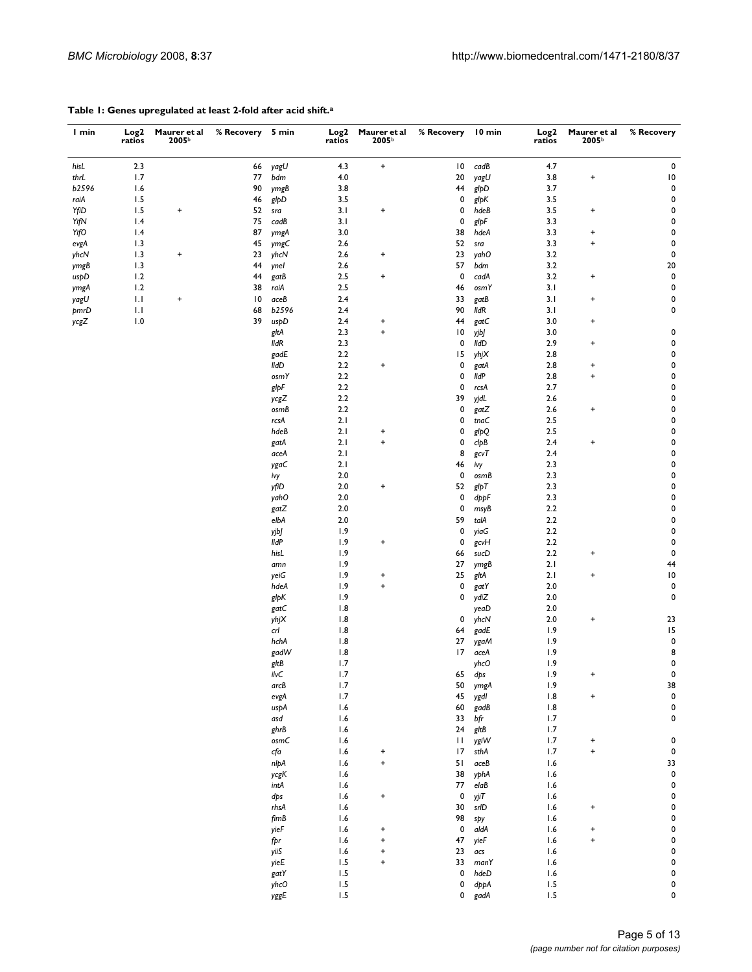| l min        | Log <sub>2</sub><br>ratios | Maurer et al<br>2005b | % Recovery  5 min |              | Log2<br>ratios | Maurer et al<br>2005b            | % Recovery 10 min |              | Log <sub>2</sub><br>ratios | Maurer et al<br>2005b            | % Recovery             |
|--------------|----------------------------|-----------------------|-------------------|--------------|----------------|----------------------------------|-------------------|--------------|----------------------------|----------------------------------|------------------------|
| hisL         | 2.3                        |                       | 66                | yagU         | 4.3            | $\pmb{+}$                        | $\overline{10}$   | cadB         | 4.7                        |                                  | $\pmb{0}$              |
| thrL         | 1.7                        |                       | 77                | bdm          | 4.0            |                                  | 20                | yagU         | 3.8                        | $\ddot{}$                        | $\overline{10}$        |
| b2596        | 1.6                        |                       | 90                | ymgB         | 3.8            |                                  | 44                | glpD         | 3.7                        |                                  | $\pmb{0}$              |
| raiA         | 1.5                        |                       | 46                | glpD         | 3.5            |                                  | 0                 | glpK         | 3.5                        |                                  | $\pmb{0}$              |
| YfiD         | 1.5                        | $\pmb{+}$             | 52                | sra          | 3.1            | $\ddot{}$                        | 0                 | hdeB         | 3.5                        | $\ddot{}$                        | $\pmb{0}$              |
| YifN         | 1.4                        |                       | 75                | cadB         | 3.1            |                                  | 0                 | glpF         | 3.3                        |                                  | 0                      |
| YifO         | 1.4                        |                       | 87                | ymgA         | 3.0            |                                  | 38                | hdeA         | 3.3                        | $\ddot{}$                        | $\pmb{0}$              |
| evgA         | 1.3                        |                       | 45                | ymgC         | 2.6            |                                  | 52                | sra          | 3.3                        | $\begin{array}{c} + \end{array}$ | $\pmb{0}$              |
| yhcN         | 1.3                        | $\ddot{}$             | 23<br>44          | yhcN         | 2.6            | $\ddot{}$                        | 23<br>57          | yahO<br>bdm  | 3.2<br>3.2                 |                                  | $\pmb{0}$              |
| ymgB<br>uspD | 1.3<br>1.2                 |                       | 44                | ynel<br>gatB | 2.6<br>2.5     | $\ddot{}$                        | 0                 | cadA         | 3.2                        | $\pmb{+}$                        | 20<br>$\pmb{0}$        |
| ymgA         | 1.2                        |                       | 38                | raiA         | 2.5            |                                  | 46                | osmY         | 3.1                        |                                  | $\pmb{0}$              |
| yagU         | 1.1                        | $\ddot{}$             | $\overline{10}$   | aceB         | 2.4            |                                  | 33                | gatB         | 3.1                        | $\pmb{+}$                        | $\pmb{0}$              |
| pmrD         | 1.1                        |                       | 68                | b2596        | 2.4            |                                  | 90                | <b>IIdR</b>  | 3.1                        |                                  | 0                      |
| ycgZ         | 1.0                        |                       | 39                | uspD         | 2.4            | $\ddot{}$                        | 44                | gatC         | 3.0                        | $\pmb{+}$                        |                        |
|              |                            |                       |                   | gltA         | 2.3            | $\begin{array}{c} + \end{array}$ | $\overline{10}$   | yjbJ         | 3.0                        |                                  | $\pmb{0}$              |
|              |                            |                       |                   | <b>IIdR</b>  | 2.3            |                                  | 0                 | <b>IIdD</b>  | 2.9                        | $\ddot{}$                        | $\pmb{0}$              |
|              |                            |                       |                   | gadE         | 2.2            |                                  | 15                | yhjX         | 2.8                        |                                  | 0                      |
|              |                            |                       |                   | <b>IIdD</b>  | 2.2            | $\ddot{}$                        | 0                 | gatA         | 2.8                        | $\ddot{}$                        | $\pmb{0}$              |
|              |                            |                       |                   | osmY         | 2.2            |                                  | 0                 | lldP         | 2.8                        | $\ddot{}$                        | $\pmb{0}$              |
|              |                            |                       |                   | glpF         | 2.2            |                                  | 0                 | rcsA         | 2.7                        |                                  | $\pmb{0}$              |
|              |                            |                       |                   | ycgZ         | 2.2            |                                  | 39                | yjdL         | 2.6                        |                                  | $\pmb{0}$              |
|              |                            |                       |                   | osmB         | 2.2            |                                  | 0                 | gatZ         | 2.6                        | $\ddot{}$                        | $\pmb{0}$              |
|              |                            |                       |                   | rcsA         | 2.1            |                                  | 0                 | tnaC         | 2.5                        |                                  | $\pmb{0}$              |
|              |                            |                       |                   | hdeB         | 2.1            | $\ddot{}$                        | 0                 | glpQ         | 2.5                        |                                  | $\pmb{0}$              |
|              |                            |                       |                   | gatA         | 2.1            | $\pmb{+}$                        | 0                 | clpB         | 2.4                        | $\ddot{}$                        | $\pmb{0}$              |
|              |                            |                       |                   | aceA         | 2.1            |                                  | 8                 | gcvT         | 2.4                        |                                  | $\pmb{0}$              |
|              |                            |                       |                   | ygaC         | 2.1            |                                  | 46                | ivy          | 2.3                        |                                  | 0                      |
|              |                            |                       |                   | ivy          | 2.0            |                                  | 0                 | osmB         | 2.3                        |                                  | $\pmb{0}$              |
|              |                            |                       |                   | yfiD         | 2.0            | $\ddot{}$                        | 52<br>0           | glpT         | 2.3<br>2.3                 |                                  | $\pmb{0}$<br>$\pmb{0}$ |
|              |                            |                       |                   | yahO<br>gatZ | 2.0<br>2.0     |                                  | 0                 | dppF<br>msyB | 2.2                        |                                  | $\pmb{0}$              |
|              |                            |                       |                   | elbA         | 2.0            |                                  | 59                | talA         | 2.2                        |                                  | $\pmb{0}$              |
|              |                            |                       |                   | yjbJ         | 1.9            |                                  | 0                 | yiaG         | 2.2                        |                                  | $\pmb{0}$              |
|              |                            |                       |                   | lldP         | 1.9            | $\ddot{}$                        | 0                 | gcvH         | 2.2                        |                                  | $\pmb{0}$              |
|              |                            |                       |                   | hisL         | 1.9            |                                  | 66                | sucD         | 2.2                        | $\ddot{}$                        | $\pmb{0}$              |
|              |                            |                       |                   | amn          | 1.9            |                                  | 27                | ymgB         | 2.1                        |                                  | 44                     |
|              |                            |                       |                   | yeiG         | 1.9            | $\ddot{}$                        | 25                | gltA         | 2.1                        | $\ddot{}$                        | $\overline{10}$        |
|              |                            |                       |                   | hdeA         | 1.9            | $\pmb{+}$                        | 0                 | gatY         | 2.0                        |                                  | $\pmb{0}$              |
|              |                            |                       |                   | glpK         | 1.9            |                                  | 0                 | ydiZ         | 2.0                        |                                  | $\pmb{0}$              |
|              |                            |                       |                   | gatC         | 1.8            |                                  |                   | yeaD         | 2.0                        |                                  |                        |
|              |                            |                       |                   | yhjX         | 1.8            |                                  | 0                 | yhcN         | 2.0                        | $\ddot{}$                        | 23                     |
|              |                            |                       |                   | crl          | 1.8            |                                  | 64                | gadE         | 1.9                        |                                  | 15                     |
|              |                            |                       |                   | hchA         | 1.8            |                                  | 27                | ygaM         | 1.9                        |                                  | $\mathbf 0$            |
|              |                            |                       |                   | gadW         | 1.8            |                                  | 17                | aceA         | 1.9                        |                                  | 8                      |
|              |                            |                       |                   | gltB         | 1.7            |                                  |                   | yhcO         | 1.9                        |                                  | 0                      |
|              |                            |                       |                   | ilvC         | 1.7            |                                  | 65                | dps          | 1.9                        | $\ddot{}$                        | 0                      |
|              |                            |                       |                   | arcB         | 1.7            |                                  | 50                | ymgA         | 1.9                        |                                  | 38                     |
|              |                            |                       |                   | evgA         | $1.7\,$        |                                  | 45                | ygdl         | 1.8                        | $\ddot{}$                        | $\pmb{0}$              |
|              |                            |                       |                   | uspA         | 1.6            |                                  | 60                | gadB         | 1.8                        |                                  | $\pmb{0}$              |
|              |                            |                       |                   | asd          | 1.6<br>1.6     |                                  | 33<br>24          | bfr<br>gltB  | 1.7                        |                                  | $\pmb{0}$              |
|              |                            |                       |                   | ghrB<br>osmC | 1.6            |                                  | $\mathbf{H}$      | ygiW         | 1.7<br>1.7                 | $\ddot{}$                        | 0                      |
|              |                            |                       |                   | cfa          | 1.6            | $\ddot{}$                        | 17                | sthA         | 1.7                        | $\ddot{}$                        | $\pmb{0}$              |
|              |                            |                       |                   | nlpA         | 1.6            | $\pmb{+}$                        | 51                | aceB         | 1.6                        |                                  | 33                     |
|              |                            |                       |                   | ycgK         | 1.6            |                                  | 38                | yphA         | 1.6                        |                                  | $\pmb{0}$              |
|              |                            |                       |                   | intA         | 1.6            |                                  | 77                | elaB         | 1.6                        |                                  | $\pmb{0}$              |
|              |                            |                       |                   | dps          | 1.6            | $\pmb{+}$                        | 0                 | yjiT         | 1.6                        |                                  | $\pmb{0}$              |
|              |                            |                       |                   | rhsA         | 1.6            |                                  | 30                | srlD         | 1.6                        | $\ddot{}$                        | $\pmb{0}$              |
|              |                            |                       |                   | fimB         | 1.6            |                                  | 98                | spy          | 1.6                        |                                  | $\pmb{0}$              |
|              |                            |                       |                   | yieF         | 1.6            | $\ddot{}$                        | 0                 | aldA         | 1.6                        | $\ddot{}$                        | $\pmb{0}$              |
|              |                            |                       |                   | fpr          | 1.6            | $\ddot{}$                        | 47                | yieF         | 1.6                        | $\ddot{}$                        | $\pmb{0}$              |
|              |                            |                       |                   | yiiS         | 1.6            | $\ddot{}$                        | 23                | acs          | 1.6                        |                                  | $\pmb{0}$              |
|              |                            |                       |                   | yieE         | 1.5            | $\pmb{+}$                        | 33                | manY         | 1.6                        |                                  | $\pmb{0}$              |
|              |                            |                       |                   | gatY         | 1.5            |                                  | 0                 | hdeD         | 1.6                        |                                  | $\pmb{0}$              |
|              |                            |                       |                   | yhcO         | $1.5\,$        |                                  | 0                 | dppA         | 1.5                        |                                  | 0                      |
|              |                            |                       |                   | yggE         | $1.5\,$        |                                  | 0                 | gadA         | 1.5                        |                                  | 0                      |

#### **Table 1: Genes upregulated at least 2-fold after acid shift.a**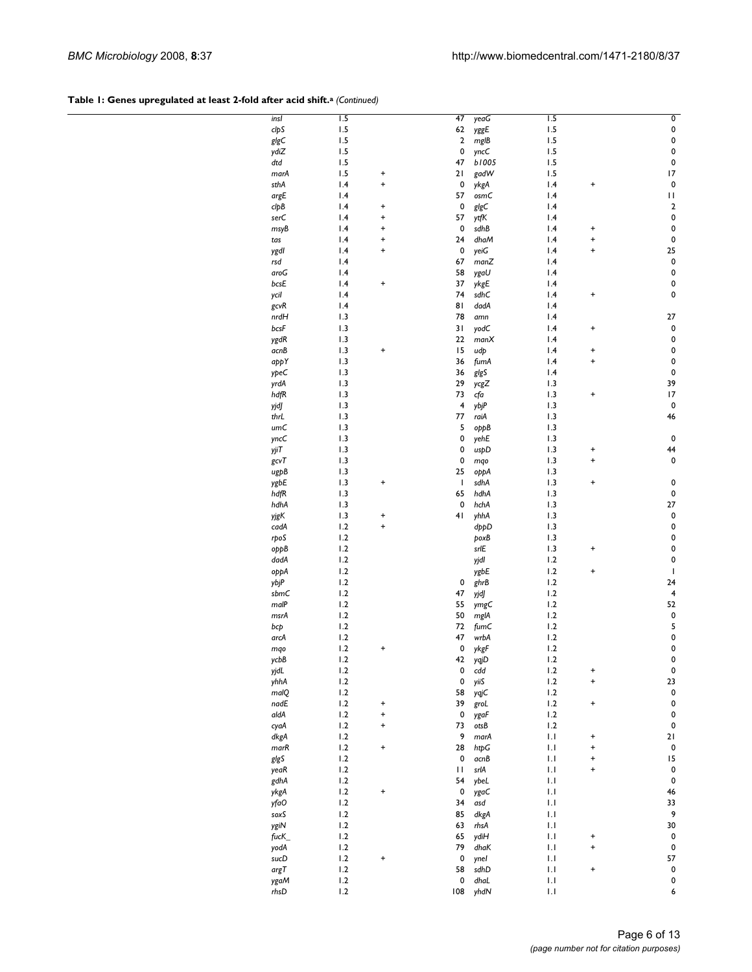## Table 1: Genes upregulated at least 2-fold after acid shift.<sup>a</sup> (Continued)

| insl | $\overline{1.5}$ |           | 47  | yeaG  | $\overline{1.5}$       |           | O           |
|------|------------------|-----------|-----|-------|------------------------|-----------|-------------|
|      |                  |           |     |       |                        |           |             |
| clpS | 1.5              |           | 62  | yggE  | 1.5                    |           | $\pmb{0}$   |
| glgC | 1.5              |           | 2   | mgIB  | 1.5                    |           | $\pmb{0}$   |
|      |                  |           |     |       |                        |           |             |
| ydiZ | 1.5              |           | 0   | yncC  | 1.5                    |           | 0           |
| dtd  | 1.5              |           | 47  | b1005 | 1.5                    |           | $\pmb{0}$   |
|      | 1.5              | $\ddot{}$ | 21  |       | 1.5                    |           | 17          |
| marA |                  |           |     | gadW  |                        |           |             |
| sthA | 1.4              | $\ddot{}$ | 0   | ykgA  | 1.4                    | $\ddot{}$ | $\pmb{0}$   |
| argE | 1.4              |           | 57  | osmC  | 1.4                    |           | П           |
|      |                  |           |     |       |                        |           |             |
| clpB | 1.4              | $\ddot{}$ | 0   | glgC  | 1.4                    |           | $\mathbf 2$ |
| serC | 1.4              | $\ddot{}$ | 57  | ytfK  | 1.4                    |           | 0           |
|      |                  |           |     |       |                        |           |             |
| msyB | 1.4              | $\ddot{}$ | 0   | sdhB  | 1.4                    | $\pmb{+}$ | 0           |
| tas  | 1.4              | $\ddot{}$ | 24  | dhaM  | 1.4                    | $\ddot{}$ | 0           |
|      |                  |           |     |       |                        |           |             |
| ygdl | 1.4              | $\ddot{}$ | 0   | yeiG  | 1.4                    | $\ddot{}$ | 25          |
| rsd  | 1.4              |           | 67  | manZ  | 1.4                    |           | $\pmb{0}$   |
|      |                  |           |     |       |                        |           |             |
| aroG | 1.4              |           | 58  | ygaU  | 1.4                    |           | $\pmb{0}$   |
| bcsE | 1.4              | $\ddot{}$ | 37  | ykgE  | 1.4                    |           | 0           |
|      |                  |           |     |       |                        |           |             |
| ycil | 1.4              |           | 74  | sdhC  | 1.4                    | $\ddot{}$ | 0           |
| gcvR | 1.4              |           | 81  | dadA  | 1.4                    |           |             |
|      |                  |           |     |       |                        |           |             |
| nrdH | 1.3              |           | 78  | amn   | 1.4                    |           | 27          |
| bcsF | 1.3              |           | 31  | yodC  | 1.4                    | $\ddot{}$ | 0           |
|      |                  |           |     |       |                        |           |             |
| ygdR | 1.3              |           | 22  | manX  | 1.4                    |           | 0           |
| acnB | 1.3              | $\ddot{}$ | 15  | udp   | 1.4                    | $\pmb{+}$ | 0           |
|      | 1.3              |           | 36  | fumA  | 1.4                    | $\ddot{}$ | 0           |
| аррҮ |                  |           |     |       |                        |           |             |
| ypeC | 1.3              |           | 36  | glgS  | 1.4                    |           | 0           |
|      |                  |           |     |       |                        |           | 39          |
| yrdA | 1.3              |           | 29  | ycgZ  | 1.3                    |           |             |
| hdfR | 1.3              |           | 73  | cfa   | 1.3                    | $\ddot{}$ | 17          |
|      | 1.3              |           | 4   | ybjP  | 1.3                    |           | $\pmb{0}$   |
| yjdJ |                  |           |     |       |                        |           |             |
| thrL | 1.3              |           | 77  | raiA  | 1.3                    |           | 46          |
| umC  | 1.3              |           | 5   |       | 1.3                    |           |             |
|      |                  |           |     | oppB  |                        |           |             |
| yncC | 1.3              |           | 0   | yehE  | 1.3                    |           | 0           |
| yjiT | 1.3              |           | 0   |       | 1.3                    | $\pmb{+}$ | 44          |
|      |                  |           |     | uspD  |                        |           |             |
| gcvT | 1.3              |           | 0   | mqo   | 1.3                    | $\ddot{}$ | 0           |
|      | 1.3              |           | 25  |       | 1.3                    |           |             |
| ugpB |                  |           |     | оррА  |                        |           |             |
| ygbE | 1.3              | $\ddot{}$ | T   | sdhA  | 1.3                    | $\ddot{}$ | 0           |
| hdfR | 1.3              |           | 65  | hdhA  | 1.3                    |           | 0           |
|      |                  |           |     |       |                        |           |             |
| hdhA | 1.3              |           | 0   | hchA  | 1.3                    |           | 27          |
| yjgK | 1.3              | $\ddot{}$ | 41  | yhhA  | 1.3                    |           | $\pmb{0}$   |
|      |                  |           |     |       |                        |           |             |
| cadA | 1.2              | $\ddot{}$ |     | dppD  | 1.3                    |           | 0           |
| rpoS | 1.2              |           |     | poxB  | 1.3                    |           | 0           |
|      |                  |           |     |       |                        |           |             |
| oppB | 1.2              |           |     | srlE  | 1.3                    | $\ddot{}$ | 0           |
| dadA | 1.2              |           |     | yjdl  | 1.2                    |           | 0           |
|      |                  |           |     |       |                        |           |             |
| оррА | 1.2              |           |     | ygbE  | 1.2                    | $\ddot{}$ | I           |
| ybjP | 1.2              |           | 0   | ghrB  | 1.2                    |           | 24          |
|      |                  |           |     |       |                        |           |             |
| sbmC | 1.2              |           | 47  | yjdJ  | 1.2                    |           | 4           |
| malP | 1.2              |           | 55  | ymgC  | 1.2                    |           | 52          |
|      |                  |           |     |       |                        |           |             |
| msrA | 1.2              |           | 50  | mglA  | 1.2                    |           | $\pmb{0}$   |
| bcp  | 1.2              |           | 72  | fumC  | 1.2                    |           | 5           |
|      |                  |           |     |       |                        |           |             |
| arcA | 1.2              |           | 47  | wrbA  | 1.2                    |           | $\pmb{0}$   |
| mqo  | 1.2              | $\ddot{}$ | 0   | ykgF  | 1.2                    |           | 0           |
| ycbB | 1.2              |           | 42  |       | $1.2\,$                |           | 0           |
|      |                  |           |     | yqjD  |                        |           |             |
| yjdL | 1.2              |           | 0   | cdd   | 1.2                    | +         | $\pmb{0}$   |
| yhhA | 1.2              |           | 0   | yiiS  | 1.2                    | $\ddot{}$ | 23          |
|      |                  |           |     |       |                        |           |             |
| malQ | 1.2              |           | 58  | yqjC  | 1.2                    |           | $\pmb{0}$   |
| nadE | 1.2              | $\ddot{}$ | 39  | groL  | 1.2                    | $\ddot{}$ | 0           |
|      |                  |           |     |       |                        |           |             |
| aldA | 1.2              | $\ddot{}$ | 0   | ygaF  | 1.2                    |           | 0           |
| cyaA | 1.2              | $\ddot{}$ | 73  | otsB  | 1.2                    |           | 0           |
| dkgA | 1.2              |           | 9   | marA  | 1.1                    | $\pmb{+}$ | 21          |
|      |                  |           |     |       |                        |           |             |
| mark | 1.2              | $\ddot{}$ | 28  | htpG  | 1.1                    | $\ddot{}$ | 0           |
| glgS | 1.2              |           | 0   | acnB  | 1.1                    | $\pmb{+}$ | 15          |
|      |                  |           |     |       |                        |           |             |
| yeaR | 1.2              |           | П   | srlA  | 1.1                    | $\ddot{}$ | $\pmb{0}$   |
| gdhA | 1.2              |           | 54  | ybeL  | $\mathsf{L}\mathsf{I}$ |           | 0           |
|      |                  |           |     |       |                        |           |             |
| ykgA | 1.2              | $\ddot{}$ | 0   | ygaC  | 1.1                    |           | 46          |
| yfaO | 1.2              |           | 34  | asd   | 1.1                    |           | 33          |
|      |                  |           |     |       |                        |           |             |
| soxS | 1.2              |           | 85  | dkgA  | 1.1                    |           | 9           |
| ygiN | 1.2              |           | 63  | rhsA  | 1.1                    |           | 30          |
|      | 1.2              |           | 65  |       | 1.1                    | +         | 0           |
| fucK |                  |           |     | ydiH  |                        |           |             |
| yodA | 1.2              |           | 79  | dhaK  | 1.1                    | $\ddot{}$ | 0           |
|      | 1.2              | $\ddot{}$ | 0   |       | 1.1                    |           | 57          |
| sucD |                  |           |     | ynel  |                        |           |             |
| argT | 1.2              |           | 58  | sdhD  | $\mathsf{L}\mathsf{I}$ | $\pmb{+}$ | $\pmb{0}$   |
| ygaM | 1.2              |           | 0   | dhaL  | 1.1                    |           | 0           |
|      |                  |           |     |       |                        |           |             |
| rhsD | 1.2              |           | 108 | yhdN  | 1.1                    |           | 6           |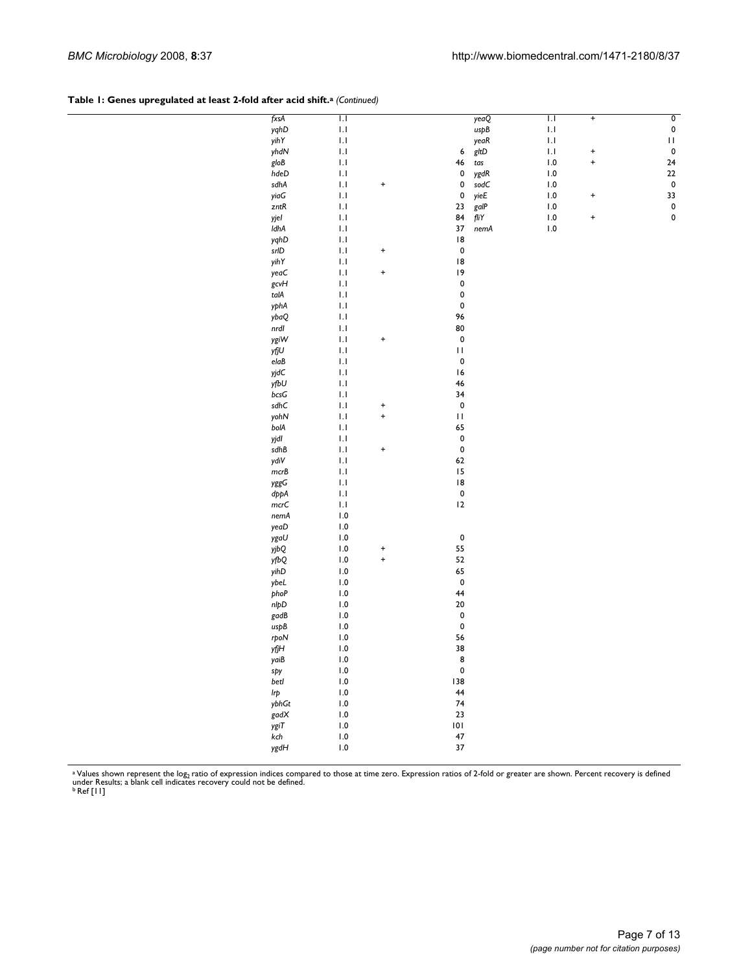#### Table 1: Genes upregulated at least 2-fold after acid shift.<sup>a</sup> (Continued)

| fxsA                                         | IJ                      |           |              | yeaQ                    | $\overline{1.1}$        | $+$       | $\overline{\mathbf{0}}$ |
|----------------------------------------------|-------------------------|-----------|--------------|-------------------------|-------------------------|-----------|-------------------------|
| yghD                                         | $\mathsf{L}\mathsf{I}$  |           |              | uspB                    | $\mathsf{L}\mathsf{I}$  |           | $\pmb{0}$               |
| yihY                                         | $\mathsf{L}\mathsf{I}$  |           |              | yeaR                    | $\mathsf{L}\mathsf{I}$  |           | $\mathbf{H}$            |
| yhdN                                         | IJ                      |           | 6            | gltD                    | $\mathbf{L} \mathbf{I}$ | $\ddot{}$ | $\pmb{0}$               |
| gloB                                         | 1.1                     |           | 46           | $\mathop{tas}\nolimits$ | 1.0                     | $\ddot{}$ | ${\bf 24}$              |
| hdeD                                         | IJ                      |           | 0            | ygdR                    | 1.0                     |           | 22                      |
| sdhA                                         | 1.1                     |           | 0            | sodC                    | $\, 0.0$                |           | $\pmb{0}$               |
|                                              |                         | $\ddot{}$ | $\pmb{0}$    |                         |                         |           |                         |
| yiaG                                         | IJ                      |           |              | yieE                    | $\, 0.0$                | $\ddot{}$ | 33                      |
| zntR                                         | 1.1                     |           | 23           | galP                    | $\, 0.0$                |           | $\pmb{\mathsf{O}}$      |
| yjel                                         | IJ                      |           | 84           | fliY                    | $\, 0.0$                | $\ddot{}$ | $\pmb{\mathsf{O}}$      |
| IdhA                                         | IJ                      |           | 37           | nemA                    | $\, 0.0$                |           |                         |
| yghD                                         | IJ                      |           | 8            |                         |                         |           |                         |
| $\ensuremath{\mathsf{srl}}\xspace\textsf{D}$ | 1.1                     | $\ddot{}$ | $\pmb{0}$    |                         |                         |           |                         |
| yihY                                         | IJ                      |           | 8            |                         |                         |           |                         |
| yeaC                                         | 1.1                     | +         | 9            |                         |                         |           |                         |
| gcvH                                         | IJ                      |           | $\pmb{0}$    |                         |                         |           |                         |
| $\ensuremath{\mathit{tal}}\xspace$           | 1.1                     |           | $\pmb{0}$    |                         |                         |           |                         |
| yphA                                         | IJ                      |           | $\pmb{0}$    |                         |                         |           |                         |
| ybaQ                                         | IJ                      |           | 96           |                         |                         |           |                         |
| nrdI                                         | IJ                      |           | 80           |                         |                         |           |                         |
|                                              |                         |           |              |                         |                         |           |                         |
| ygiW                                         | 1.1                     | $\ddot{}$ | $\pmb{0}$    |                         |                         |           |                         |
| yfjU                                         | IJ                      |           | $\mathbf{H}$ |                         |                         |           |                         |
| $\mathsf{el} \mathsf{a} \mathsf{B}$          | 1.1                     |           | $\pmb{0}$    |                         |                         |           |                         |
| yjdC                                         | IJ                      |           | 16           |                         |                         |           |                         |
| yfbU                                         | 1.1                     |           | 46           |                         |                         |           |                         |
| bcsG                                         | IJ                      |           | 34           |                         |                         |           |                         |
| $\mathsf{s}\mathsf{d}\mathsf{h}\mathsf{C}$   | 1.1                     | $\ddot{}$ | $\pmb{0}$    |                         |                         |           |                         |
| yohN                                         | IJ                      | $\ddot{}$ | $\mathbf{H}$ |                         |                         |           |                         |
| bolA                                         | 1.1                     |           | 65           |                         |                         |           |                         |
| yjdl                                         | IJ                      |           | $\pmb{0}$    |                         |                         |           |                         |
| sdhB                                         | 1.1                     | +         | $\pmb{0}$    |                         |                         |           |                         |
| ydiV                                         | IJ                      |           | 62           |                         |                         |           |                         |
| mcrb                                         | 1.1                     |           | 15           |                         |                         |           |                         |
|                                              |                         |           |              |                         |                         |           |                         |
| yggG                                         | IJ                      |           | 8            |                         |                         |           |                         |
| dppA                                         | IJ                      |           | $\pmb{0}$    |                         |                         |           |                         |
| mcrC                                         | IJ                      |           | 12           |                         |                         |           |                         |
| nemA                                         | 1.0                     |           |              |                         |                         |           |                         |
| yeaD                                         | $\, 1.0$                |           |              |                         |                         |           |                         |
| ygaU                                         | $\, 1.0$                |           | $\pmb{0}$    |                         |                         |           |                         |
| yjbQ                                         | $\, 0.0$                | $\ddot{}$ | 55           |                         |                         |           |                         |
| yfbQ                                         | $\, 0.0$                | $\ddot{}$ | 52           |                         |                         |           |                         |
| yihD                                         | $\, 0.0$                |           | 65           |                         |                         |           |                         |
| ybeL                                         | $\, 0.0$                |           | $\pmb{0}$    |                         |                         |           |                         |
| phoP                                         | $\, 0.0$                |           | 44           |                         |                         |           |                         |
| nlpD                                         | $\, 0.0$                |           | ${\bf 20}$   |                         |                         |           |                         |
| gadB                                         | $\, 0.0$                |           | $\pmb{0}$    |                         |                         |           |                         |
|                                              |                         |           | $\pmb{0}$    |                         |                         |           |                         |
| uspB                                         | $\, 0.0$                |           |              |                         |                         |           |                         |
| rpoN                                         | $\, 1.0$                |           | 56           |                         |                         |           |                         |
| yfjH                                         | 1.0                     |           | 38           |                         |                         |           |                         |
| yaiB                                         | 1.0                     |           | 8            |                         |                         |           |                         |
| spy                                          | $\mathsf{I}.\mathsf{0}$ |           | $\pmb{0}$    |                         |                         |           |                         |
| betl                                         | $1.0\,$                 |           | 138          |                         |                         |           |                         |
| Irp                                          | $\, 0.0$                |           | 44           |                         |                         |           |                         |
| ybhGt                                        | $1.0\,$                 |           | 74           |                         |                         |           |                         |
| gadX                                         | $\, 0.0$                |           | 23           |                         |                         |           |                         |
| ygiT                                         | 1.0                     |           | 101          |                         |                         |           |                         |
| $\sf kch$                                    | $\, 0.0$                |           | 47           |                         |                         |           |                         |
| ygdH                                         | $1.0\,$                 |           | 37           |                         |                         |           |                         |
|                                              |                         |           |              |                         |                         |           |                         |
|                                              |                         |           |              |                         |                         |           |                         |

<sup>a</sup> Values shown represent the log<sub>2</sub> ratio of expression indices compared to those at time zero. Expression ratios of 2-fold or greater are shown. Percent recovery is defined<br>under Results; a blank cell indicates recovery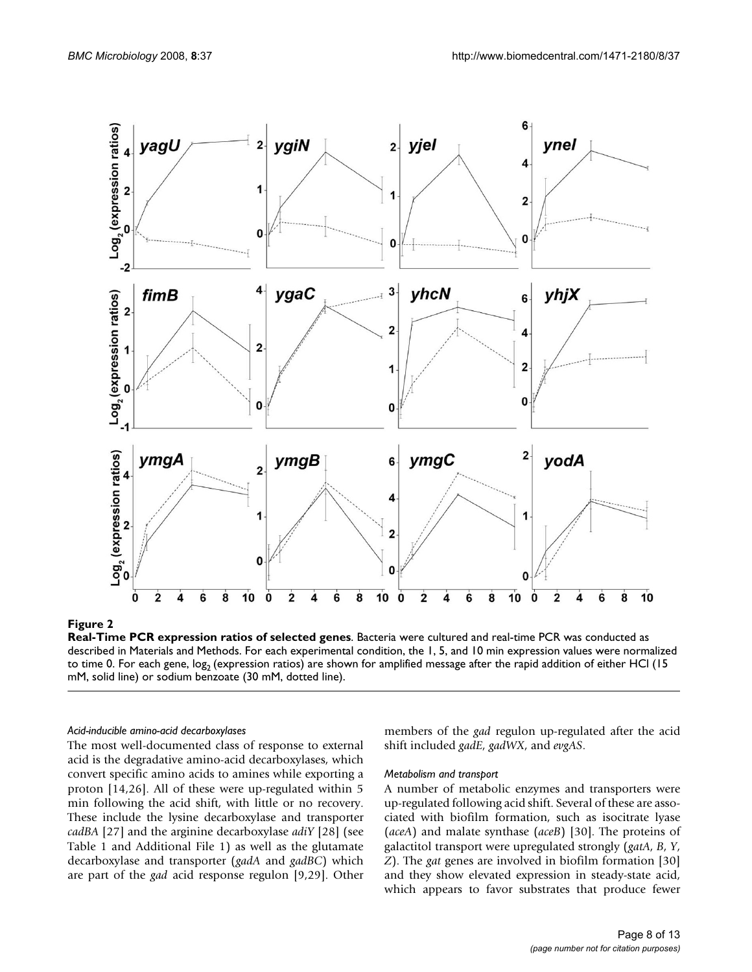

#### Figure 2

**Real-Time PCR expression ratios of selected genes**. Bacteria were cultured and real-time PCR was conducted as described in Materials and Methods. For each experimental condition, the 1, 5, and 10 min expression values were normalized to time 0. For each gene,  $log_2$  (expression ratios) are shown for amplified message after the rapid addition of either HCl (15 mM, solid line) or sodium benzoate (30 mM, dotted line).

#### *Acid-inducible amino-acid decarboxylases*

The most well-documented class of response to external acid is the degradative amino-acid decarboxylases, which convert specific amino acids to amines while exporting a proton [14,26]. All of these were up-regulated within 5 min following the acid shift, with little or no recovery. These include the lysine decarboxylase and transporter *cadBA* [27] and the arginine decarboxylase *adiY* [28] (see Table 1 and Additional File 1) as well as the glutamate decarboxylase and transporter (*gadA* and *gadBC*) which are part of the *gad* acid response regulon [9,29]. Other members of the *gad* regulon up-regulated after the acid shift included *gadE*, *gadWX*, and *evgAS*.

#### *Metabolism and transport*

A number of metabolic enzymes and transporters were up-regulated following acid shift. Several of these are associated with biofilm formation, such as isocitrate lyase (*aceA*) and malate synthase (*aceB*) [30]. The proteins of galactitol transport were upregulated strongly (*gatA*, *B*, *Y*, *Z*). The *gat* genes are involved in biofilm formation [30] and they show elevated expression in steady-state acid, which appears to favor substrates that produce fewer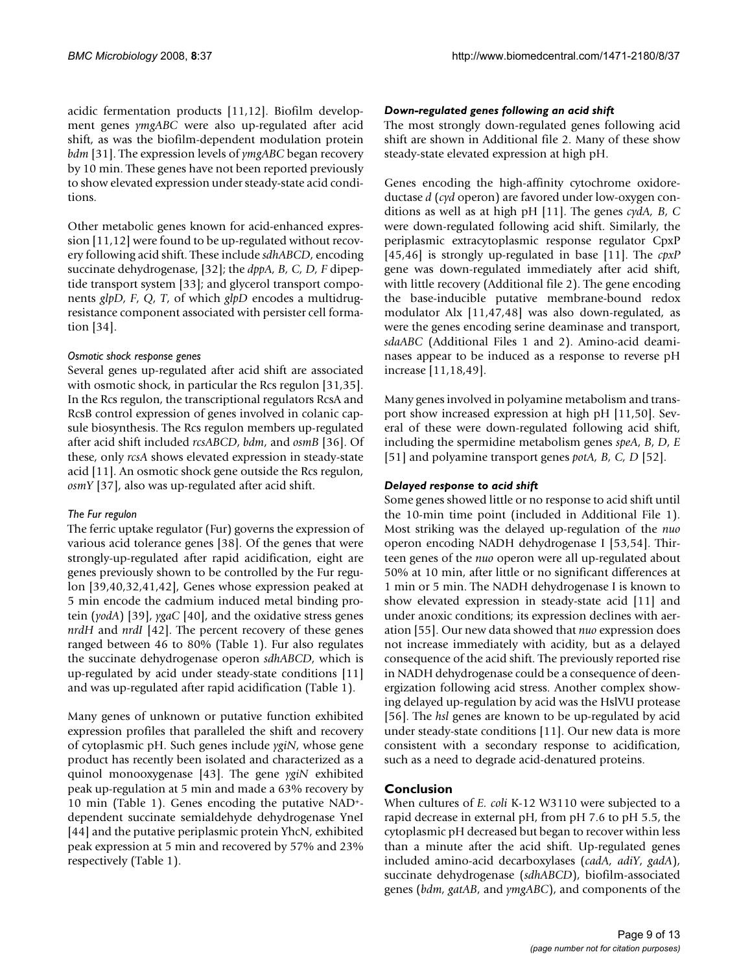acidic fermentation products [11,12]. Biofilm development genes *ymgABC* were also up-regulated after acid shift, as was the biofilm-dependent modulation protein *bdm* [31]. The expression levels of *ymgABC* began recovery by 10 min. These genes have not been reported previously to show elevated expression under steady-state acid conditions.

Other metabolic genes known for acid-enhanced expression [11,12] were found to be up-regulated without recovery following acid shift. These include *sdhABCD*, encoding succinate dehydrogenase, [32]; the *dppA, B, C, D, F* dipeptide transport system [33]; and glycerol transport components *glpD*, *F*, *Q*, *T*, of which *glpD* encodes a multidrugresistance component associated with persister cell formation [34].

## *Osmotic shock response genes*

Several genes up-regulated after acid shift are associated with osmotic shock, in particular the Rcs regulon [31,35]. In the Rcs regulon, the transcriptional regulators RcsA and RcsB control expression of genes involved in colanic capsule biosynthesis. The Rcs regulon members up-regulated after acid shift included *rcsABCD*, *bdm*, and *osmB* [36]. Of these, only *rcsA* shows elevated expression in steady-state acid [11]. An osmotic shock gene outside the Rcs regulon, *osmY* [37], also was up-regulated after acid shift.

## *The Fur regulon*

The ferric uptake regulator (Fur) governs the expression of various acid tolerance genes [38]. Of the genes that were strongly-up-regulated after rapid acidification, eight are genes previously shown to be controlled by the Fur regulon [39,40,32,41,42], Genes whose expression peaked at 5 min encode the cadmium induced metal binding protein (*yodA*) [39], *ygaC* [40], and the oxidative stress genes *nrdH* and *nrdI* [42]. The percent recovery of these genes ranged between 46 to 80% (Table 1). Fur also regulates the succinate dehydrogenase operon *sdhABCD*, which is up-regulated by acid under steady-state conditions [11] and was up-regulated after rapid acidification (Table 1).

Many genes of unknown or putative function exhibited expression profiles that paralleled the shift and recovery of cytoplasmic pH. Such genes include *ygiN*, whose gene product has recently been isolated and characterized as a quinol monooxygenase [43]. The gene *ygiN* exhibited peak up-regulation at 5 min and made a 63% recovery by 10 min (Table 1). Genes encoding the putative NAD+ dependent succinate semialdehyde dehydrogenase YneI [44] and the putative periplasmic protein YhcN, exhibited peak expression at 5 min and recovered by 57% and 23% respectively (Table 1).

#### *Down-regulated genes following an acid shift*

The most strongly down-regulated genes following acid shift are shown in Additional file 2. Many of these show steady-state elevated expression at high pH.

Genes encoding the high-affinity cytochrome oxidoreductase *d* (*cyd* operon) are favored under low-oxygen conditions as well as at high pH [11]. The genes *cydA, B*, *C* were down-regulated following acid shift. Similarly, the periplasmic extracytoplasmic response regulator CpxP [45,46] is strongly up-regulated in base [11]. The *cpxP* gene was down-regulated immediately after acid shift, with little recovery (Additional file 2). The gene encoding the base-inducible putative membrane-bound redox modulator Alx [11,47,48] was also down-regulated, as were the genes encoding serine deaminase and transport, *sdaABC* (Additional Files 1 and 2). Amino-acid deaminases appear to be induced as a response to reverse pH increase [11,18,49].

Many genes involved in polyamine metabolism and transport show increased expression at high pH [11,50]. Several of these were down-regulated following acid shift, including the spermidine metabolism genes *speA*, *B*, *D*, *E* [51] and polyamine transport genes *potA, B, C, D* [52].

## *Delayed response to acid shift*

Some genes showed little or no response to acid shift until the 10-min time point (included in Additional File 1). Most striking was the delayed up-regulation of the *nuo* operon encoding NADH dehydrogenase I [53,54]. Thirteen genes of the *nuo* operon were all up-regulated about 50% at 10 min, after little or no significant differences at 1 min or 5 min. The NADH dehydrogenase I is known to show elevated expression in steady-state acid [11] and under anoxic conditions; its expression declines with aeration [55]. Our new data showed that *nuo* expression does not increase immediately with acidity, but as a delayed consequence of the acid shift. The previously reported rise in NADH dehydrogenase could be a consequence of deenergization following acid stress. Another complex showing delayed up-regulation by acid was the HslVU protease [56]. The *hsl* genes are known to be up-regulated by acid under steady-state conditions [11]. Our new data is more consistent with a secondary response to acidification, such as a need to degrade acid-denatured proteins.

## **Conclusion**

When cultures of *E. coli* K-12 W3110 were subjected to a rapid decrease in external pH, from pH 7.6 to pH 5.5, the cytoplasmic pH decreased but began to recover within less than a minute after the acid shift. Up-regulated genes included amino-acid decarboxylases (*cadA, adiY*, *gadA*), succinate dehydrogenase (*sdhABCD*), biofilm-associated genes (*bdm*, *gatAB*, and *ymgABC*), and components of the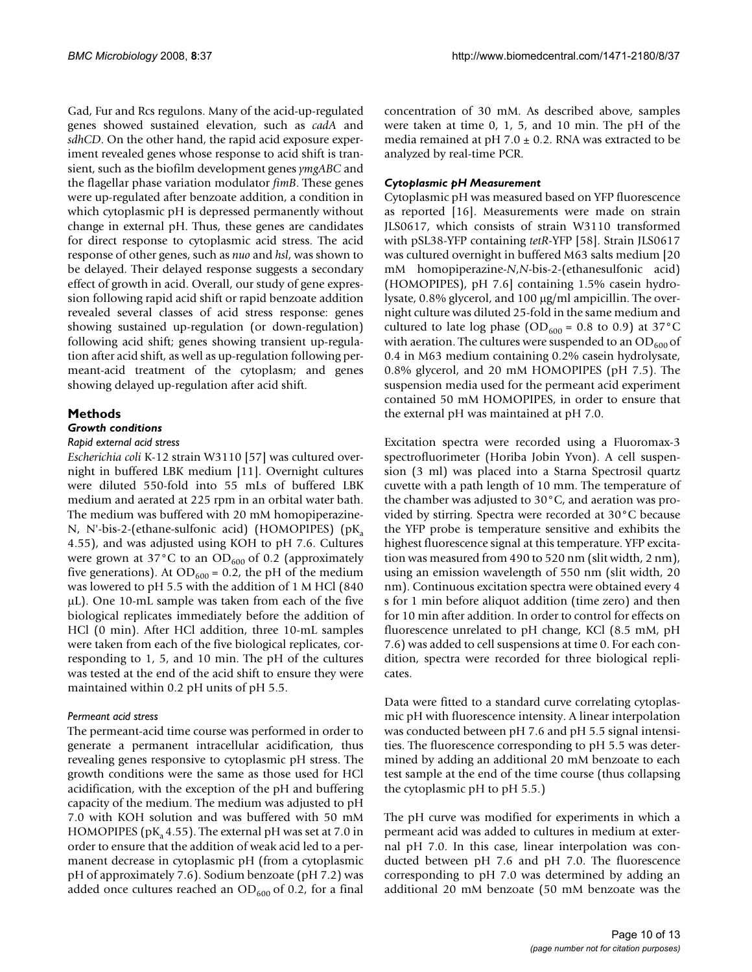Gad, Fur and Rcs regulons. Many of the acid-up-regulated genes showed sustained elevation, such as *cadA* and *sdhCD*. On the other hand, the rapid acid exposure experiment revealed genes whose response to acid shift is transient, such as the biofilm development genes *ymgABC* and the flagellar phase variation modulator *fimB*. These genes were up-regulated after benzoate addition, a condition in which cytoplasmic pH is depressed permanently without change in external pH. Thus, these genes are candidates for direct response to cytoplasmic acid stress. The acid response of other genes, such as *nuo* and *hsl*, was shown to be delayed. Their delayed response suggests a secondary effect of growth in acid. Overall, our study of gene expression following rapid acid shift or rapid benzoate addition revealed several classes of acid stress response: genes showing sustained up-regulation (or down-regulation) following acid shift; genes showing transient up-regulation after acid shift, as well as up-regulation following permeant-acid treatment of the cytoplasm; and genes showing delayed up-regulation after acid shift.

## **Methods**

#### *Growth conditions*

#### *Rapid external acid stress*

*Escherichia coli* K-12 strain W3110 [57] was cultured overnight in buffered LBK medium [11]. Overnight cultures were diluted 550-fold into 55 mLs of buffered LBK medium and aerated at 225 rpm in an orbital water bath. The medium was buffered with 20 mM homopiperazine-N, N'-bis-2-(ethane-sulfonic acid) (HOMOPIPES) ( $pK_a$ 4.55), and was adjusted using KOH to pH 7.6. Cultures were grown at 37 $\rm{^{\circ}C}$  to an OD<sub>600</sub> of 0.2 (approximately five generations). At  $OD_{600} = 0.2$ , the pH of the medium was lowered to pH 5.5 with the addition of 1 M HCl (840 μL). One 10-mL sample was taken from each of the five biological replicates immediately before the addition of HCl (0 min). After HCl addition, three 10-mL samples were taken from each of the five biological replicates, corresponding to 1, 5, and 10 min. The pH of the cultures was tested at the end of the acid shift to ensure they were maintained within 0.2 pH units of pH 5.5.

#### *Permeant acid stress*

The permeant-acid time course was performed in order to generate a permanent intracellular acidification, thus revealing genes responsive to cytoplasmic pH stress. The growth conditions were the same as those used for HCl acidification, with the exception of the pH and buffering capacity of the medium. The medium was adjusted to pH 7.0 with KOH solution and was buffered with 50 mM HOMOPIPES ( $pK_a$ 4.55). The external  $pH$  was set at 7.0 in order to ensure that the addition of weak acid led to a permanent decrease in cytoplasmic pH (from a cytoplasmic pH of approximately 7.6). Sodium benzoate (pH 7.2) was added once cultures reached an  $OD_{600}$  of 0.2, for a final

concentration of 30 mM. As described above, samples were taken at time 0, 1, 5, and 10 min. The pH of the media remained at pH 7.0  $\pm$  0.2. RNA was extracted to be analyzed by real-time PCR.

#### *Cytoplasmic pH Measurement*

Cytoplasmic pH was measured based on YFP fluorescence as reported [16]. Measurements were made on strain JLS0617, which consists of strain W3110 transformed with pSL38-YFP containing *tetR*-YFP [58]. Strain JLS0617 was cultured overnight in buffered M63 salts medium [20 mM homopiperazine-*N*,*N*-bis-2-(ethanesulfonic acid) (HOMOPIPES), pH 7.6] containing 1.5% casein hydrolysate, 0.8% glycerol, and 100 μg/ml ampicillin. The overnight culture was diluted 25-fold in the same medium and cultured to late log phase (OD<sub>600</sub> = 0.8 to 0.9) at 37°C with aeration. The cultures were suspended to an  $OD<sub>600</sub>$  of 0.4 in M63 medium containing 0.2% casein hydrolysate, 0.8% glycerol, and 20 mM HOMOPIPES (pH 7.5). The suspension media used for the permeant acid experiment contained 50 mM HOMOPIPES, in order to ensure that the external pH was maintained at pH 7.0.

Excitation spectra were recorded using a Fluoromax-3 spectrofluorimeter (Horiba Jobin Yvon). A cell suspension (3 ml) was placed into a Starna Spectrosil quartz cuvette with a path length of 10 mm. The temperature of the chamber was adjusted to 30°C, and aeration was provided by stirring. Spectra were recorded at 30°C because the YFP probe is temperature sensitive and exhibits the highest fluorescence signal at this temperature. YFP excitation was measured from 490 to 520 nm (slit width, 2 nm), using an emission wavelength of 550 nm (slit width, 20 nm). Continuous excitation spectra were obtained every 4 s for 1 min before aliquot addition (time zero) and then for 10 min after addition. In order to control for effects on fluorescence unrelated to pH change, KCl (8.5 mM, pH 7.6) was added to cell suspensions at time 0. For each condition, spectra were recorded for three biological replicates.

Data were fitted to a standard curve correlating cytoplasmic pH with fluorescence intensity. A linear interpolation was conducted between pH 7.6 and pH 5.5 signal intensities. The fluorescence corresponding to pH 5.5 was determined by adding an additional 20 mM benzoate to each test sample at the end of the time course (thus collapsing the cytoplasmic pH to pH 5.5.)

The pH curve was modified for experiments in which a permeant acid was added to cultures in medium at external pH 7.0. In this case, linear interpolation was conducted between pH 7.6 and pH 7.0. The fluorescence corresponding to pH 7.0 was determined by adding an additional 20 mM benzoate (50 mM benzoate was the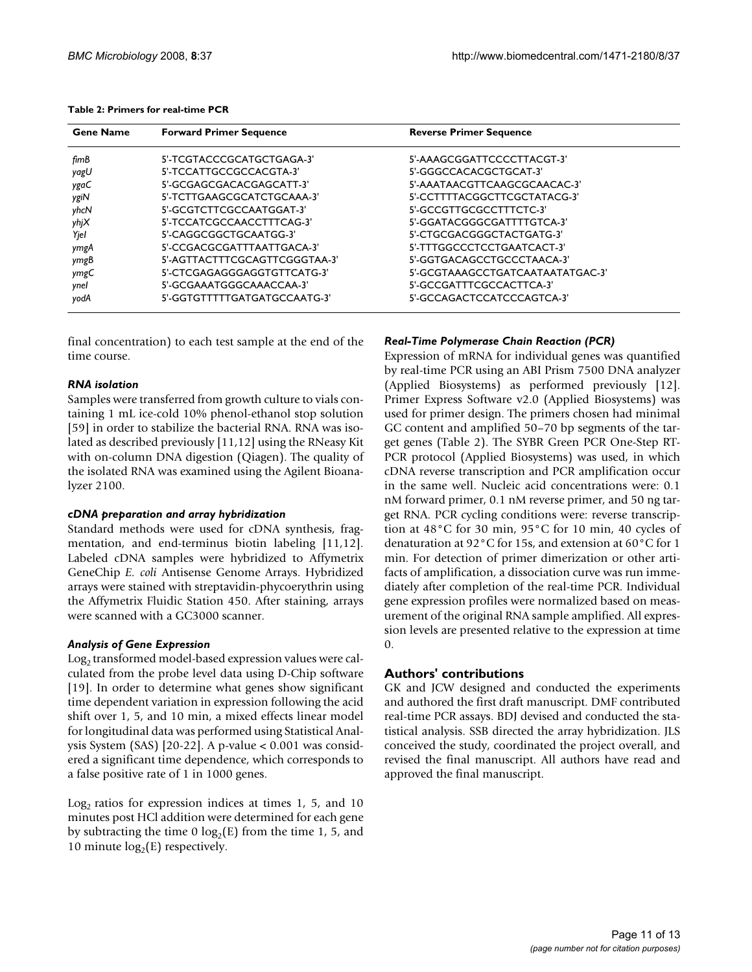| Table 2: Primers for real-time PCR |  |
|------------------------------------|--|
|------------------------------------|--|

| <b>Gene Name</b> | <b>Forward Primer Sequence</b> | <b>Reverse Primer Sequence</b>   |
|------------------|--------------------------------|----------------------------------|
| fimB             | 5'-TCGTACCCGCATGCTGAGA-3'      | 5'-AAAGCGGATTCCCCTTACGT-3'       |
| yagU             | 5'-TCCATTGCCGCCACGTA-3'        | 5'-GGGCCACACGCTGCAT-3'           |
| ygaC             | 5'-GCGAGCGACACGAGCATT-3'       | 5'-AAATAACGTTCAAGCGCAACAC-3'     |
| ygiN             | 5'-TCTTGAAGCGCATCTGCAAA-3'     | 5'-CCTTTTACGGCTTCGCTATACG-3'     |
| yhcN             | 5'-GCGTCTTCGCCAATGGAT-3'       | 5'-GCCGTTGCGCCTTTCTC-3'          |
| yhjX             | 5'-TCCATCGCCAACCTTTCAG-3'      | 5'-GGATACGGGCGATTTTGTCA-3'       |
| Yjel             | 5'-CAGGCGGCTGCAATGG-3'         | 5'-CTGCGACGGGCTACTGATG-3'        |
| ymgA             | 5'-CCGACGCGATTTAATTGACA-3'     | 5'-TTTGGCCCTCCTGAATCACT-3'       |
| ymgB             | 5'-AGTTACTTTCGCAGTTCGGGTAA-3'  | 5'-GGTGACAGCCTGCCCTAACA-3'       |
| ymgC             | 5'-CTCGAGAGGGAGGTGTTCATG-3'    | 5'-GCGTAAAGCCTGATCAATAATATGAC-3' |
| ynel             | 5'-GCGAAATGGGCAAACCAA-3'       | 5'-GCCGATTTCGCCACTTCA-3'         |
| yodA             | 5'-GGTGTTTTTGATGATGCCAATG-3'   | 5'-GCCAGACTCCATCCCAGTCA-3'       |

final concentration) to each test sample at the end of the time course.

## *RNA isolation*

Samples were transferred from growth culture to vials containing 1 mL ice-cold 10% phenol-ethanol stop solution [59] in order to stabilize the bacterial RNA. RNA was isolated as described previously [11,12] using the RNeasy Kit with on-column DNA digestion (Qiagen). The quality of the isolated RNA was examined using the Agilent Bioanalyzer 2100.

## *cDNA preparation and array hybridization*

Standard methods were used for cDNA synthesis, fragmentation, and end-terminus biotin labeling [11,12]. Labeled cDNA samples were hybridized to Affymetrix GeneChip *E. coli* Antisense Genome Arrays. Hybridized arrays were stained with streptavidin-phycoerythrin using the Affymetrix Fluidic Station 450. After staining, arrays were scanned with a GC3000 scanner.

## *Analysis of Gene Expression*

Log<sub>2</sub> transformed model-based expression values were calculated from the probe level data using D-Chip software [19]. In order to determine what genes show significant time dependent variation in expression following the acid shift over 1, 5, and 10 min, a mixed effects linear model for longitudinal data was performed using Statistical Analysis System (SAS) [20-22]. A p-value < 0.001 was considered a significant time dependence, which corresponds to a false positive rate of 1 in 1000 genes.

Log<sub>2</sub> ratios for expression indices at times 1, 5, and 10 minutes post HCl addition were determined for each gene by subtracting the time 0  $log_2(E)$  from the time 1, 5, and 10 minute  $log<sub>2</sub>(E)$  respectively.

## *Real-Time Polymerase Chain Reaction (PCR)*

Expression of mRNA for individual genes was quantified by real-time PCR using an ABI Prism 7500 DNA analyzer (Applied Biosystems) as performed previously [12]. Primer Express Software v2.0 (Applied Biosystems) was used for primer design. The primers chosen had minimal GC content and amplified 50–70 bp segments of the target genes (Table 2). The SYBR Green PCR One-Step RT-PCR protocol (Applied Biosystems) was used, in which cDNA reverse transcription and PCR amplification occur in the same well. Nucleic acid concentrations were: 0.1 nM forward primer, 0.1 nM reverse primer, and 50 ng target RNA. PCR cycling conditions were: reverse transcription at 48°C for 30 min, 95°C for 10 min, 40 cycles of denaturation at 92°C for 15s, and extension at 60°C for 1 min. For detection of primer dimerization or other artifacts of amplification, a dissociation curve was run immediately after completion of the real-time PCR. Individual gene expression profiles were normalized based on measurement of the original RNA sample amplified. All expression levels are presented relative to the expression at time 0.

## **Authors' contributions**

GK and JCW designed and conducted the experiments and authored the first draft manuscript. DMF contributed real-time PCR assays. BDJ devised and conducted the statistical analysis. SSB directed the array hybridization. JLS conceived the study, coordinated the project overall, and revised the final manuscript. All authors have read and approved the final manuscript.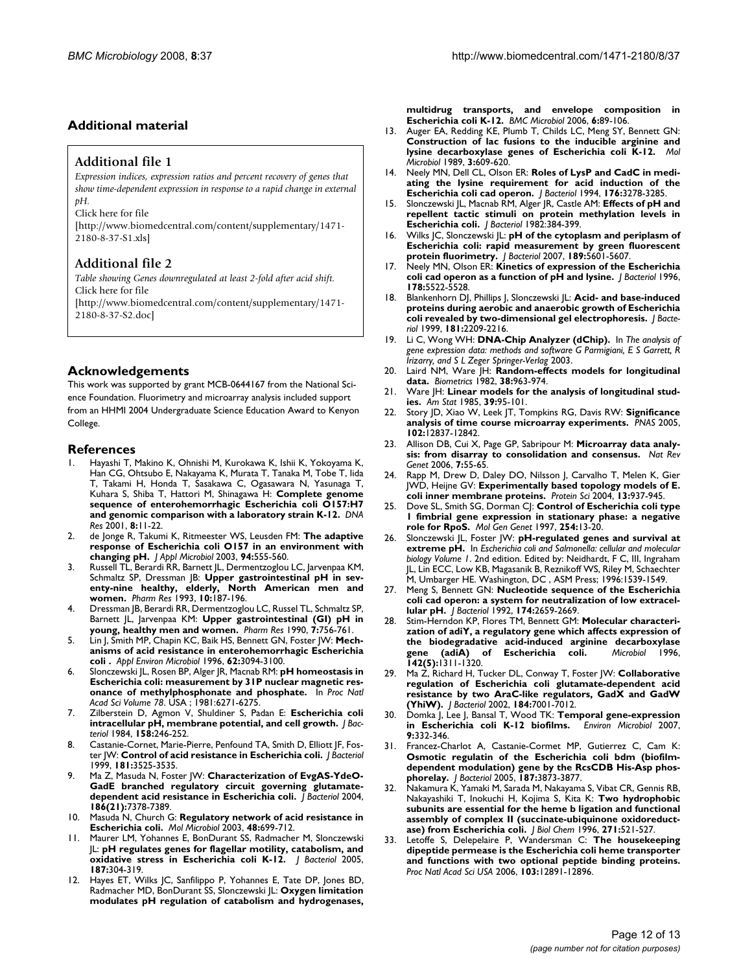## **Additional material**

#### **Additional file 1**

*Expression indices, expression ratios and percent recovery of genes that show time-dependent expression in response to a rapid change in external pH.*

Click here for file

[\[http://www.biomedcentral.com/content/supplementary/1471-](http://www.biomedcentral.com/content/supplementary/1471-2180-8-37-S1.xls) 2180-8-37-S1.xls]

#### **Additional file 2**

*Table showing Genes downregulated at least 2-fold after acid shift.* Click here for file [\[http://www.biomedcentral.com/content/supplementary/1471-](http://www.biomedcentral.com/content/supplementary/1471-2180-8-37-S2.doc) 2180-8-37-S2.doc]

#### **Acknowledgements**

This work was supported by grant MCB-0644167 from the National Science Foundation. Fluorimetry and microarray analysis included support from an HHMI 2004 Undergraduate Science Education Award to Kenyon College.

#### **References**

- 1. Hayashi T, Makino K, Ohnishi M, Kurokawa K, Ishii K, Yokoyama K, Han CG, Ohtsubo E, Nakayama K, Murata T, Tanaka M, Tobe T, Iida T, Takami H, Honda T, Sasakawa C, Ogasawara N, Yasunaga T, Kuhara S, Shiba T, Hattori M, Shinagawa H: **[Complete genome](http://www.ncbi.nlm.nih.gov/entrez/query.fcgi?cmd=Retrieve&db=PubMed&dopt=Abstract&list_uids=11258796) [sequence of enterohemorrhagic Escherichia coli O157:H7](http://www.ncbi.nlm.nih.gov/entrez/query.fcgi?cmd=Retrieve&db=PubMed&dopt=Abstract&list_uids=11258796) [and genomic comparison with a laboratory strain K-12.](http://www.ncbi.nlm.nih.gov/entrez/query.fcgi?cmd=Retrieve&db=PubMed&dopt=Abstract&list_uids=11258796)** *DNA Res* 2001, **8:**11-22.
- 2. de Jonge R, Takumi K, Ritmeester WS, Leusden FM: **[The adaptive](http://www.ncbi.nlm.nih.gov/entrez/query.fcgi?cmd=Retrieve&db=PubMed&dopt=Abstract&list_uids=12631190) [response of Escherichia coli O157 in an environment with](http://www.ncbi.nlm.nih.gov/entrez/query.fcgi?cmd=Retrieve&db=PubMed&dopt=Abstract&list_uids=12631190) [changing pH.](http://www.ncbi.nlm.nih.gov/entrez/query.fcgi?cmd=Retrieve&db=PubMed&dopt=Abstract&list_uids=12631190)** *J Appl Microbiol* 2003, **94:**555-560.
- 3. Russell TL, Berardi RR, Barnett JL, Dermentzoglou LC, Jarvenpaa KM, Schmaltz SP, Dressman JB: **[Upper gastrointestinal pH in sev](http://www.ncbi.nlm.nih.gov/entrez/query.fcgi?cmd=Retrieve&db=PubMed&dopt=Abstract&list_uids=8456064)[enty-nine healthy, elderly, North American men and](http://www.ncbi.nlm.nih.gov/entrez/query.fcgi?cmd=Retrieve&db=PubMed&dopt=Abstract&list_uids=8456064) [women.](http://www.ncbi.nlm.nih.gov/entrez/query.fcgi?cmd=Retrieve&db=PubMed&dopt=Abstract&list_uids=8456064)** *Pharm Res* 1993, **10:**187-196.
- 4. Dressman JB, Berardi RR, Dermentzoglou LC, Russel TL, Schmaltz SP, Barnett JL, Jarvenpaa KM: **[Upper gastrointestinal \(GI\) pH in](http://www.ncbi.nlm.nih.gov/entrez/query.fcgi?cmd=Retrieve&db=PubMed&dopt=Abstract&list_uids=2395805) [young, healthy men and women.](http://www.ncbi.nlm.nih.gov/entrez/query.fcgi?cmd=Retrieve&db=PubMed&dopt=Abstract&list_uids=2395805)** *Pharm Res* 1990, **7:**756-761.
- 5. Lin J, Smith MP, Chapin KC, Baik HS, Bennett GN, Foster JW: **[Mech](http://www.ncbi.nlm.nih.gov/entrez/query.fcgi?cmd=Retrieve&db=PubMed&dopt=Abstract&list_uids=8795195)[anisms of acid resistance in enterohemorrhagic Escherichia](http://www.ncbi.nlm.nih.gov/entrez/query.fcgi?cmd=Retrieve&db=PubMed&dopt=Abstract&list_uids=8795195) [coli .](http://www.ncbi.nlm.nih.gov/entrez/query.fcgi?cmd=Retrieve&db=PubMed&dopt=Abstract&list_uids=8795195)** *Appl Environ Microbiol* 1996, **62:**3094-3100.
- 6. Slonczewski JL, Rosen BP, Alger JR, Macnab RM: **[pH homeostasis in](http://www.ncbi.nlm.nih.gov/entrez/query.fcgi?cmd=Retrieve&db=PubMed&dopt=Abstract&list_uids=7031646) [Escherichia coli: measurement by 31P nuclear magnetic res](http://www.ncbi.nlm.nih.gov/entrez/query.fcgi?cmd=Retrieve&db=PubMed&dopt=Abstract&list_uids=7031646)[onance of methylphosphonate and phosphate.](http://www.ncbi.nlm.nih.gov/entrez/query.fcgi?cmd=Retrieve&db=PubMed&dopt=Abstract&list_uids=7031646)** In *Proc Natl Acad Sci Volume 78*. USA ; 1981:6271-6275.
- 7. Zilberstein D, Agmon V, Shuldiner S, Padan E: **[Escherichia coli](http://www.ncbi.nlm.nih.gov/entrez/query.fcgi?cmd=Retrieve&db=PubMed&dopt=Abstract&list_uids=6325389) [intracellular pH, membrane potential, and cell growth.](http://www.ncbi.nlm.nih.gov/entrez/query.fcgi?cmd=Retrieve&db=PubMed&dopt=Abstract&list_uids=6325389)** *J Bacteriol* 1984, **158:**246-252.
- Castanie-Cornet, Marie-Pierre, Penfound TA, Smith D, Elliott JF, Foster JW: **[Control of acid resistance in Escherichia coli.](http://www.ncbi.nlm.nih.gov/entrez/query.fcgi?cmd=Retrieve&db=PubMed&dopt=Abstract&list_uids=10348866)** *J Bacteriol* 1999, **181:**3525-3535.
- 9. Ma Z, Masuda N, Foster JW: **[Characterization of EvgAS-YdeO-](http://www.ncbi.nlm.nih.gov/entrez/query.fcgi?cmd=Retrieve&db=PubMed&dopt=Abstract&list_uids=15489450)[GadE branched regulatory circuit governing glutamate](http://www.ncbi.nlm.nih.gov/entrez/query.fcgi?cmd=Retrieve&db=PubMed&dopt=Abstract&list_uids=15489450)[dependent acid resistance in Escherichia coli.](http://www.ncbi.nlm.nih.gov/entrez/query.fcgi?cmd=Retrieve&db=PubMed&dopt=Abstract&list_uids=15489450)** *J Bacteriol* 2004, **186(21):**7378-7389.
- 10. Masuda N, Church G: **[Regulatory network of acid resistance in](http://www.ncbi.nlm.nih.gov/entrez/query.fcgi?cmd=Retrieve&db=PubMed&dopt=Abstract&list_uids=12694615) [Escherichia coli.](http://www.ncbi.nlm.nih.gov/entrez/query.fcgi?cmd=Retrieve&db=PubMed&dopt=Abstract&list_uids=12694615)** *Mol Microbiol* 2003, **48:**699-712.
- 11. Maurer LM, Yohannes E, BonDurant SS, Radmacher M, Slonczewski JL: **[pH regulates genes for flagellar motility, catabolism, and](http://www.ncbi.nlm.nih.gov/entrez/query.fcgi?cmd=Retrieve&db=PubMed&dopt=Abstract&list_uids=15601715) [oxidative stress in Escherichia coli K-12.](http://www.ncbi.nlm.nih.gov/entrez/query.fcgi?cmd=Retrieve&db=PubMed&dopt=Abstract&list_uids=15601715)** *J Bacteriol* 2005, **187:**304-319.
- 12. Hayes ET, Wilks JC, Sanfilippo P, Yohannes E, Tate DP, Jones BD, Radmacher MD, BonDurant SS, Slonczewski JL: **[Oxygen limitation](http://www.ncbi.nlm.nih.gov/entrez/query.fcgi?cmd=Retrieve&db=PubMed&dopt=Abstract&list_uids=17026754) [modulates pH regulation of catabolism and hydrogenases,](http://www.ncbi.nlm.nih.gov/entrez/query.fcgi?cmd=Retrieve&db=PubMed&dopt=Abstract&list_uids=17026754)**

**[multidrug transports, and envelope composition in](http://www.ncbi.nlm.nih.gov/entrez/query.fcgi?cmd=Retrieve&db=PubMed&dopt=Abstract&list_uids=17026754) [Escherichia coli K-12.](http://www.ncbi.nlm.nih.gov/entrez/query.fcgi?cmd=Retrieve&db=PubMed&dopt=Abstract&list_uids=17026754)** *BMC Microbiol* 2006, **6:**89-106.

- 13. Auger EA, Redding KE, Plumb T, Childs LC, Meng SY, Bennett GN: **[Construction of lac fusions to the inducible arginine and](http://www.ncbi.nlm.nih.gov/entrez/query.fcgi?cmd=Retrieve&db=PubMed&dopt=Abstract&list_uids=2527331) [lysine decarboxylase genes of Escherichia coli K-12.](http://www.ncbi.nlm.nih.gov/entrez/query.fcgi?cmd=Retrieve&db=PubMed&dopt=Abstract&list_uids=2527331)** *Mol Microbiol* 1989, **3:**609-620.
- 14. Neely MN, Dell CL, Olson ER: **[Roles of LysP and CadC in medi](http://www.ncbi.nlm.nih.gov/entrez/query.fcgi?cmd=Retrieve&db=PubMed&dopt=Abstract&list_uids=8195083)[ating the lysine requirement for acid induction of the](http://www.ncbi.nlm.nih.gov/entrez/query.fcgi?cmd=Retrieve&db=PubMed&dopt=Abstract&list_uids=8195083) [Escherichia coli cad operon.](http://www.ncbi.nlm.nih.gov/entrez/query.fcgi?cmd=Retrieve&db=PubMed&dopt=Abstract&list_uids=8195083)** *J Bacteriol* 1994, **176:**3278-3285.
- 15. Slonczewski JL, Macnab RM, Alger JR, Castle AM: **[Effects of pH and](http://www.ncbi.nlm.nih.gov/entrez/query.fcgi?cmd=Retrieve&db=PubMed&dopt=Abstract&list_uids=6749812) [repellent tactic stimuli on protein methylation levels in](http://www.ncbi.nlm.nih.gov/entrez/query.fcgi?cmd=Retrieve&db=PubMed&dopt=Abstract&list_uids=6749812) [Escherichia coli.](http://www.ncbi.nlm.nih.gov/entrez/query.fcgi?cmd=Retrieve&db=PubMed&dopt=Abstract&list_uids=6749812)** *J Bacteriol* 1982:384-399.
- 16. Wilks JC, Slonczewski JL: **[pH of the cytoplasm and periplasm of](http://www.ncbi.nlm.nih.gov/entrez/query.fcgi?cmd=Retrieve&db=PubMed&dopt=Abstract&list_uids=17545292) [Escherichia coli: rapid measurement by green fluorescent](http://www.ncbi.nlm.nih.gov/entrez/query.fcgi?cmd=Retrieve&db=PubMed&dopt=Abstract&list_uids=17545292) [protein fluorimetry.](http://www.ncbi.nlm.nih.gov/entrez/query.fcgi?cmd=Retrieve&db=PubMed&dopt=Abstract&list_uids=17545292)** *J Bacteriol* 2007, **189:**5601-5607.
- 17. Neely MN, Olson ER: **[Kinetics of expression of the Escherichia](http://www.ncbi.nlm.nih.gov/entrez/query.fcgi?cmd=Retrieve&db=PubMed&dopt=Abstract&list_uids=8808945) [coli cad operon as a function of pH and lysine.](http://www.ncbi.nlm.nih.gov/entrez/query.fcgi?cmd=Retrieve&db=PubMed&dopt=Abstract&list_uids=8808945)** *J Bacteriol* 1996, **178:**5522-5528.
- 18. Blankenhorn DJ, Phillips J, Slonczewski JL: **[Acid- and base-induced](http://www.ncbi.nlm.nih.gov/entrez/query.fcgi?cmd=Retrieve&db=PubMed&dopt=Abstract&list_uids=10094700) [proteins during aerobic and anaerobic growth of Escherichia](http://www.ncbi.nlm.nih.gov/entrez/query.fcgi?cmd=Retrieve&db=PubMed&dopt=Abstract&list_uids=10094700) [coli revealed by two-dimensional gel electrophoresis.](http://www.ncbi.nlm.nih.gov/entrez/query.fcgi?cmd=Retrieve&db=PubMed&dopt=Abstract&list_uids=10094700)** *J Bacteriol* 1999, **181:**2209-2216.
- 19. Li C, Wong WH: **DNA-Chip Analyzer (dChip).** In *The analysis of gene expression data: methods and software G Parmigiani, E S Garrett, R Irizarry, and S L Zeger Springer-Verlag* 2003.
- 20. Laird NM, Ware JH: **[Random-effects models for longitudinal](http://www.ncbi.nlm.nih.gov/entrez/query.fcgi?cmd=Retrieve&db=PubMed&dopt=Abstract&list_uids=7168798) [data.](http://www.ncbi.nlm.nih.gov/entrez/query.fcgi?cmd=Retrieve&db=PubMed&dopt=Abstract&list_uids=7168798)** *Biometrics* 1982, **38:**963-974.
- 21. Ware JH: **Linear models for the analysis of longitudinal studies.** *Am Stat* 1985, **39:**95-101.
- 22. Story JD, Xiao W, Leek JT, Tompkins RG, Davis RW: **[Significance](http://www.ncbi.nlm.nih.gov/entrez/query.fcgi?cmd=Retrieve&db=PubMed&dopt=Abstract&list_uids=16141318) [analysis of time course microarray experiments.](http://www.ncbi.nlm.nih.gov/entrez/query.fcgi?cmd=Retrieve&db=PubMed&dopt=Abstract&list_uids=16141318)** *PNAS* 2005, **102:**12837-12842.
- 23. Allison DB, Cui X, Page GP, Sabripour M: **[Microarray data analy](http://www.ncbi.nlm.nih.gov/entrez/query.fcgi?cmd=Retrieve&db=PubMed&dopt=Abstract&list_uids=16369572)[sis: from disarray to consolidation and consensus.](http://www.ncbi.nlm.nih.gov/entrez/query.fcgi?cmd=Retrieve&db=PubMed&dopt=Abstract&list_uids=16369572)** *Nat Rev Genet* 2006, **7:**55-65.
- 24. Rapp M, Drew D, Daley DO, Nilsson J, Carvalho T, Melen K, Gier JWD, Heijne GV: **[Experimentally based topology models of E.](http://www.ncbi.nlm.nih.gov/entrez/query.fcgi?cmd=Retrieve&db=PubMed&dopt=Abstract&list_uids=15044727) [coli inner membrane proteins.](http://www.ncbi.nlm.nih.gov/entrez/query.fcgi?cmd=Retrieve&db=PubMed&dopt=Abstract&list_uids=15044727)** *Protein Sci* 2004, **13:**937-945.
- 25. Dove SL, Smith SG, Dorman CJ: **[Control of Escherichia coli type](http://www.ncbi.nlm.nih.gov/entrez/query.fcgi?cmd=Retrieve&db=PubMed&dopt=Abstract&list_uids=9108285) [1 fimbrial gene expression in stationary phase: a negative](http://www.ncbi.nlm.nih.gov/entrez/query.fcgi?cmd=Retrieve&db=PubMed&dopt=Abstract&list_uids=9108285) [role for RpoS.](http://www.ncbi.nlm.nih.gov/entrez/query.fcgi?cmd=Retrieve&db=PubMed&dopt=Abstract&list_uids=9108285)** *Mol Gen Genet* 1997, **254:**13-20.
- 26. Slonczewski JL, Foster JW: **pH-regulated genes and survival at extreme pH.** In *Escherichia coli and Salmonella: cellular and molecular biology Volume 1*. 2nd edition. Edited by: Neidhardt, F C, III, Ingraham JL, Lin ECC, Low KB, Magasanik B, Reznikoff WS, Riley M, Schaechter M, Umbarger HE. Washington, DC , ASM Press; 1996:1539-1549.
- 27. Meng S, Bennett GN: **[Nucleotide sequence of the Escherichia](http://www.ncbi.nlm.nih.gov/entrez/query.fcgi?cmd=Retrieve&db=PubMed&dopt=Abstract&list_uids=1556085) [coli cad operon: a system for neutralization of low extracel](http://www.ncbi.nlm.nih.gov/entrez/query.fcgi?cmd=Retrieve&db=PubMed&dopt=Abstract&list_uids=1556085)[lular pH.](http://www.ncbi.nlm.nih.gov/entrez/query.fcgi?cmd=Retrieve&db=PubMed&dopt=Abstract&list_uids=1556085)** *J Bacteriol* 1992, **174:**2659-2669.
- 28. Stim-Herndon KP, Flores TM, Bennett GM: **[Molecular characteri](http://www.ncbi.nlm.nih.gov/entrez/query.fcgi?cmd=Retrieve&db=PubMed&dopt=Abstract&list_uids=8704970)[zation of adiY, a regulatory gene which affects expression of](http://www.ncbi.nlm.nih.gov/entrez/query.fcgi?cmd=Retrieve&db=PubMed&dopt=Abstract&list_uids=8704970) the biodegradative acid-induced arginine decarboxylase [gene \(adiA\) of Escherichia coli.](http://www.ncbi.nlm.nih.gov/entrez/query.fcgi?cmd=Retrieve&db=PubMed&dopt=Abstract&list_uids=8704970)** *Microbiol* 1996, **142(5):**1311-1320.
- 29. Ma Z, Richard H, Tucker DL, Conway T, Foster JW: **[Collaborative](http://www.ncbi.nlm.nih.gov/entrez/query.fcgi?cmd=Retrieve&db=PubMed&dopt=Abstract&list_uids=12446650) [regulation of Escherichia coli glutamate-dependent acid](http://www.ncbi.nlm.nih.gov/entrez/query.fcgi?cmd=Retrieve&db=PubMed&dopt=Abstract&list_uids=12446650) resistance by two AraC-like regulators, GadX and GadW [\(YhiW\).](http://www.ncbi.nlm.nih.gov/entrez/query.fcgi?cmd=Retrieve&db=PubMed&dopt=Abstract&list_uids=12446650)** *J Bacteriol* 2002, **184:**7001-7012.
- 30. Domka J, Lee J, Bansal T, Wood TK: **[Temporal gene-expression](http://www.ncbi.nlm.nih.gov/entrez/query.fcgi?cmd=Retrieve&db=PubMed&dopt=Abstract&list_uids=17222132) [in Escherichia coli K-12 biofilms.](http://www.ncbi.nlm.nih.gov/entrez/query.fcgi?cmd=Retrieve&db=PubMed&dopt=Abstract&list_uids=17222132)** *Environ Microbiol* 2007, **9:**332-346.
- 31. Francez-Charlot A, Castanie-Cormet MP, Gutierrez C, Cam K: **[Osmotic regulatin of the Escherichia coli bdm \(biofilm](http://www.ncbi.nlm.nih.gov/entrez/query.fcgi?cmd=Retrieve&db=PubMed&dopt=Abstract&list_uids=15901715)dependent modulation) gene by the RcsCDB His-Asp phos[phorelay.](http://www.ncbi.nlm.nih.gov/entrez/query.fcgi?cmd=Retrieve&db=PubMed&dopt=Abstract&list_uids=15901715)** *J Bacteriol* 2005, **187:**3873-3877.
- 32. Nakamura K, Yamaki M, Sarada M, Nakayama S, Vibat CR, Gennis RB, Nakayashiki T, Inokuchi H, Kojima S, Kita K: **[Two hydrophobic](http://www.ncbi.nlm.nih.gov/entrez/query.fcgi?cmd=Retrieve&db=PubMed&dopt=Abstract&list_uids=8550613) [subunits are essential for the heme b ligation and functional](http://www.ncbi.nlm.nih.gov/entrez/query.fcgi?cmd=Retrieve&db=PubMed&dopt=Abstract&list_uids=8550613) assembly of complex II (succinate-ubiquinone oxidoreduct[ase\) from Escherichia coli.](http://www.ncbi.nlm.nih.gov/entrez/query.fcgi?cmd=Retrieve&db=PubMed&dopt=Abstract&list_uids=8550613)** *J Biol Chem* 1996, **271:**521-527.
- 33. Letoffe S, Delepelaire P, Wandersman C: **[The housekeeping](http://www.ncbi.nlm.nih.gov/entrez/query.fcgi?cmd=Retrieve&db=PubMed&dopt=Abstract&list_uids=16905647) [dipeptide permease is the Escherichia coli heme transporter](http://www.ncbi.nlm.nih.gov/entrez/query.fcgi?cmd=Retrieve&db=PubMed&dopt=Abstract&list_uids=16905647) and functions with two optional peptide binding proteins.** *Proc Natl Acad Sci USA* 2006, **103:**12891-12896.